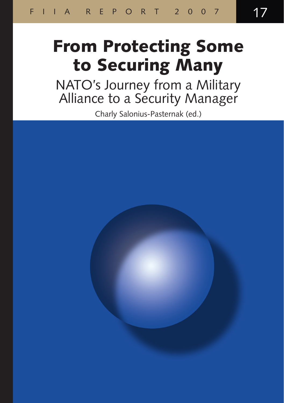# From Protecting Some to Securing Many

NATO's Journey from a Military Alliance to a Security Manager

Charly Salonius-Pasternak (ed.)

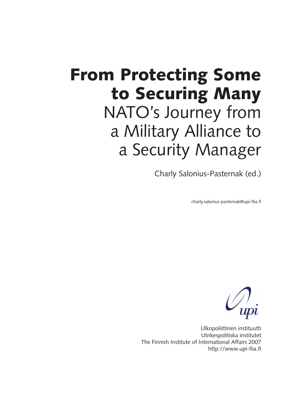# From Protecting Some to Securing Many NATO's Journey from a Military Alliance to a Security Manager

Charly Salonius-Pasternak (ed.)

charly.salonius-pasternak@upi-fiia.fi



Ulkopoliittinen instituutti Utrikespolitiska institutet The Finnish Institute of International Affairs 2007 http://www.upi-fiia.fi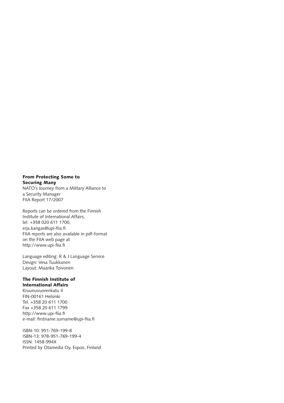#### From Protecting Some to Securing Many

NATO's Journey from a Military Alliance to a Security Manager FIIA Report 17/2007

Reports can be ordered from the Finnish Institute of International Affairs, tel. +358 020 611 1700, erja.kangas@upi-fiia.fi FIIA reports are also available in pdf-format on the FIIA web page at http://www.upi-fiia.fi

Language editing: R & J Language Service Design: Vesa Tuukkanen Layout: Maarika Toivonen

#### The Finnish Institute of International Affairs

Kruunuvuorenkatu 4 FIN-00161 Helsinki Tel. +358 20 611 1700 Fax +358 20 611 1799 http://www.upi-fiia.fi e-mail: firstname.surname@upi-fiia.fi

ISBN-10: 951-769-199-8 ISBN-13: 978-951-769-199-4 ISSN: 1458-994X Printed by Otamedia Oy, Espoo, Finland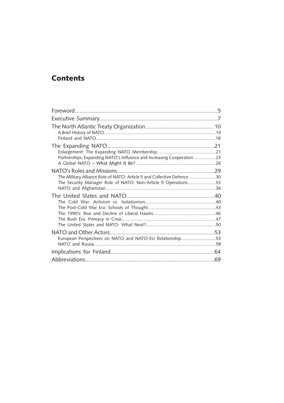### **Contents**

| Partnerships: Expanding NATO's Influence and Increasing Cooperation23                                                                   |  |
|-----------------------------------------------------------------------------------------------------------------------------------------|--|
| The Military Alliance Role of NATO: Article 5 and Collective Defence30<br>The Security Manager Role of NATO: Non-Article 5 Operations33 |  |
|                                                                                                                                         |  |
| European Perspectives on NATO and NATO-EU Relationship53                                                                                |  |
|                                                                                                                                         |  |
|                                                                                                                                         |  |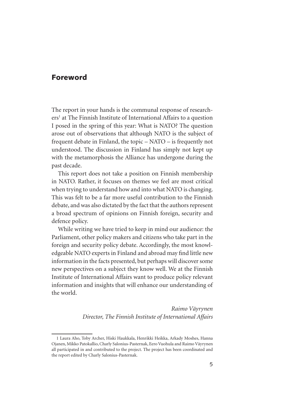#### Foreword

The report in your hands is the communal response of researchers at The Finnish Institute of International Affairs to a question I posed in the spring of this year: What is NATO? The question arose out of observations that although NATO is the subject of frequent debate in Finland, the topic – NATO – is frequently not understood. The discussion in Finland has simply not kept up with the metamorphosis the Alliance has undergone during the past decade.

This report does not take a position on Finnish membership in NATO. Rather, it focuses on themes we feel are most critical when trying to understand how and into what NATO is changing. This was felt to be a far more useful contribution to the Finnish debate, and was also dictated by the fact that the authors represent a broad spectrum of opinions on Finnish foreign, security and defence policy.

While writing we have tried to keep in mind our audience: the Parliament, other policy makers and citizens who take part in the foreign and security policy debate. Accordingly, the most knowledgeable NATO experts in Finland and abroad may find little new information in the facts presented, but perhaps will discover some new perspectives on a subject they know well. We at the Finnish Institute of International Affairs want to produce policy relevant information and insights that will enhance our understanding of the world.

> *Raimo Väyrynen Director, The Finnish Institute of International Affairs*

<sup>1</sup> Laura Aho, Toby Archer, Hiski Haukkala, Henrikki Heikka, Arkady Moshes, Hanna Ojanen, Mikko Patokallio, Charly Salonius-Pasternak, Eero Vuohula and Raimo Väyrynen all participated in and contributed to the project. The project has been coordinated and the report edited by Charly Salonius-Pasternak.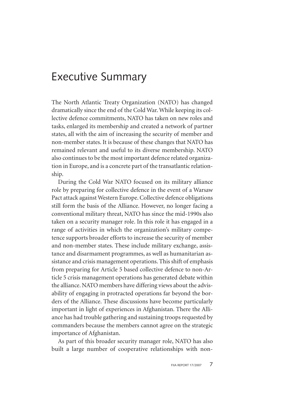## Executive Summary

The North Atlantic Treaty Organization (NATO) has changed dramatically since the end of the Cold War. While keeping its collective defence commitments, NATO has taken on new roles and tasks, enlarged its membership and created a network of partner states, all with the aim of increasing the security of member and non-member states. It is because of these changes that NATO has remained relevant and useful to its diverse membership. NATO also continues to be the most important defence related organization in Europe, and is a concrete part of the transatlantic relationship.

During the Cold War NATO focused on its military alliance role by preparing for collective defence in the event of a Warsaw Pact attack against Western Europe. Collective defence obligations still form the basis of the Alliance. However, no longer facing a conventional military threat, NATO has since the mid-1990s also taken on a security manager role. In this role it has engaged in a range of activities in which the organization's military competence supports broader efforts to increase the security of member and non-member states. These include military exchange, assistance and disarmament programmes, as well as humanitarian assistance and crisis management operations. This shift of emphasis from preparing for Article 5 based collective defence to non-Article 5 crisis management operations has generated debate within the alliance. NATO members have differing views about the advisability of engaging in protracted operations far beyond the borders of the Alliance. These discussions have become particularly important in light of experiences in Afghanistan. There the Alliance has had trouble gathering and sustaining troops requested by commanders because the members cannot agree on the strategic importance of Afghanistan.

As part of this broader security manager role, NATO has also built a large number of cooperative relationships with non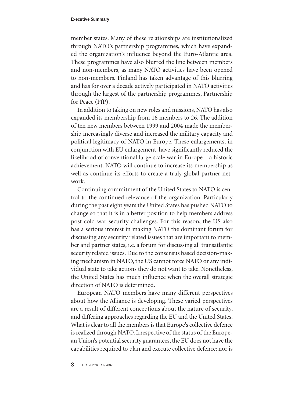member states. Many of these relationships are institutionalized through NATO's partnership programmes, which have expanded the organization's influence beyond the Euro-Atlantic area. These programmes have also blurred the line between members and non-members, as many NATO activities have been opened to non-members. Finland has taken advantage of this blurring and has for over a decade actively participated in NATO activities through the largest of the partnership programmes, Partnership for Peace (PfP).

In addition to taking on new roles and missions, NATO has also expanded its membership from 16 members to 26. The addition of ten new members between 1999 and 2004 made the membership increasingly diverse and increased the military capacity and political legitimacy of NATO in Europe. These enlargements, in conjunction with EU enlargement, have significantly reduced the likelihood of conventional large-scale war in Europe – a historic achievement. NATO will continue to increase its membership as well as continue its efforts to create a truly global partner network.

Continuing commitment of the United States to NATO is central to the continued relevance of the organization. Particularly during the past eight years the United States has pushed NATO to change so that it is in a better position to help members address post-cold war security challenges. For this reason, the US also has a serious interest in making NATO the dominant forum for discussing any security related issues that are important to member and partner states, i.e. a forum for discussing all transatlantic security related issues. Due to the consensus based decision-making mechanism in NATO, the US cannot force NATO or any individual state to take actions they do not want to take. Nonetheless, the United States has much influence when the overall strategic direction of NATO is determined.

European NATO members have many different perspectives about how the Alliance is developing. These varied perspectives are a result of different conceptions about the nature of security, and differing approaches regarding the EU and the United States. What is clear to all the members is that Europe's collective defence is realized through NATO. Irrespective of the status of the European Union's potential security guarantees, the EU does not have the capabilities required to plan and execute collective defence; nor is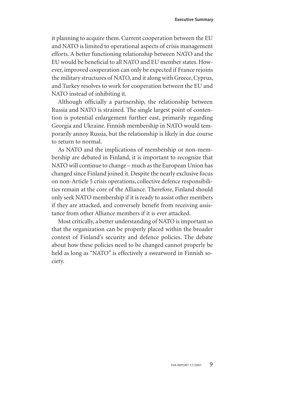it planning to acquire them. Current cooperation between the EU and NATO is limited to operational aspects of crisis management efforts. A better functioning relationship between NATO and the EU would be beneficial to all NATO and EU member states. However, improved cooperation can only be expected if France rejoins the military structures of NATO, and it along with Greece, Cyprus, and Turkey resolves to work for cooperation between the EU and NATO instead of inhibiting it.

Although officially a partnership, the relationship between Russia and NATO is strained. The single largest point of contention is potential enlargement further east, primarily regarding Georgia and Ukraine. Finnish membership in NATO would temporarily annoy Russia, but the relationship is likely in due course to return to normal.

As NATO and the implications of membership or non-membership are debated in Finland, it is important to recognize that NATO will continue to change – much as the European Union has changed since Finland joined it. Despite the nearly exclusive focus on non-Article 5 crisis operations, collective defence responsibilities remain at the core of the Alliance. Therefore, Finland should only seek NATO membership if it is ready to assist other members if they are attacked, and conversely benefit from receiving assistance from other Alliance members if it is ever attacked.

Most critically, a better understanding of NATO is important so that the organization can be properly placed within the broader context of Finland's security and defence policies. The debate about how these policies need to be changed cannot properly be held as long as "NATO" is effectively a swearword in Finnish society.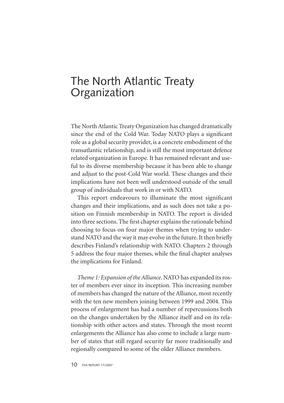## The North Atlantic Treaty Organization

The North Atlantic Treaty Organization has changed dramatically since the end of the Cold War. Today NATO plays a significant role as a global security provider, is a concrete embodiment of the transatlantic relationship, and is still the most important defence related organization in Europe. It has remained relevant and useful to its diverse membership because it has been able to change and adjust to the post-Cold War world. These changes and their implications have not been well understood outside of the small group of individuals that work in or with NATO.

This report endeavours to illuminate the most significant changes and their implications, and as such does not take a position on Finnish membership in NATO. The report is divided into three sections. The first chapter explains the rationale behind choosing to focus on four major themes when trying to understand NATO and the way it may evolve in the future. It then briefly describes Finland's relationship with NATO. Chapters 2 through 5 address the four major themes, while the final chapter analyses the implications for Finland.

*Theme 1: Expansion of the Alliance*. NATO has expanded its roster of members ever since its inception. This increasing number of members has changed the nature of the Alliance, most recently with the ten new members joining between 1999 and 2004. This process of enlargement has had a number of repercussions both on the changes undertaken by the Alliance itself and on its relationship with other actors and states. Through the most recent enlargements the Alliance has also come to include a large number of states that still regard security far more traditionally and regionally compared to some of the older Alliance members.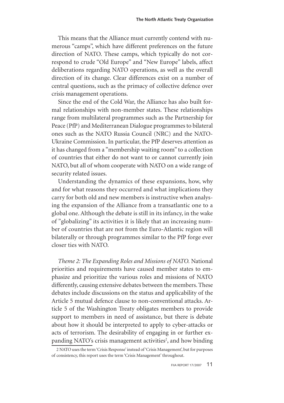This means that the Alliance must currently contend with numerous "camps", which have different preferences on the future direction of NATO. These camps, which typically do not correspond to crude "Old Europe" and "New Europe" labels, affect deliberations regarding NATO operations, as well as the overall direction of its change. Clear differences exist on a number of central questions, such as the primacy of collective defence over crisis management operations.

Since the end of the Cold War, the Alliance has also built formal relationships with non-member states. These relationships range from multilateral programmes such as the Partnership for Peace (PfP) and Mediterranean Dialogue programmes to bilateral ones such as the NATO Russia Council (NRC) and the NATO-Ukraine Commission. In particular, the PfP deserves attention as it has changed from a "membership waiting room" to a collection of countries that either do not want to or cannot currently join NATO, but all of whom cooperate with NATO on a wide range of security related issues.

Understanding the dynamics of these expansions, how, why and for what reasons they occurred and what implications they carry for both old and new members is instructive when analysing the expansion of the Alliance from a transatlantic one to a global one. Although the debate is still in its infancy, in the wake of "globalizing" its activities it is likely that an increasing number of countries that are not from the Euro-Atlantic region will bilaterally or through programmes similar to the PfP forge ever closer ties with NATO.

*Theme 2: The Expanding Roles and Missions of NATO.* National priorities and requirements have caused member states to emphasize and prioritize the various roles and missions of NATO differently, causing extensive debates between the members. These debates include discussions on the status and applicability of the Article 5 mutual defence clause to non-conventional attacks. Article 5 of the Washington Treaty obligates members to provide support to members in need of assistance, but there is debate about how it should be interpreted to apply to cyber-attacks or acts of terrorism. The desirability of engaging in or further expanding NATO's crisis management activities<sup>2</sup>, and how binding

NATO uses the term 'Crisis Response' instead of 'Crisis Management', but for purposes of consistency, this report uses the term 'Crisis Management' throughout.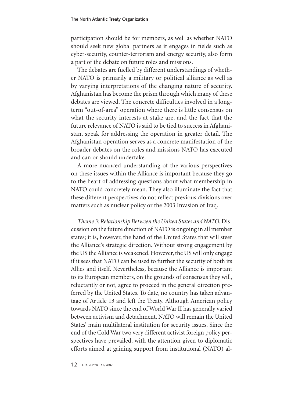participation should be for members, as well as whether NATO should seek new global partners as it engages in fields such as cyber-security, counter-terrorism and energy security, also form a part of the debate on future roles and missions.

The debates are fuelled by different understandings of whether NATO is primarily a military or political alliance as well as by varying interpretations of the changing nature of security. Afghanistan has become the prism through which many of these debates are viewed. The concrete difficulties involved in a longterm "out-of-area" operation where there is little consensus on what the security interests at stake are, and the fact that the future relevance of NATO is said to be tied to success in Afghanistan, speak for addressing the operation in greater detail. The Afghanistan operation serves as a concrete manifestation of the broader debates on the roles and missions NATO has executed and can or should undertake.

A more nuanced understanding of the various perspectives on these issues within the Alliance is important because they go to the heart of addressing questions about what membership in NATO could concretely mean. They also illuminate the fact that these different perspectives do not reflect previous divisions over matters such as nuclear policy or the 2003 Invasion of Iraq.

*Theme 3: Relationship Between the United States and NATO.* Discussion on the future direction of NATO is ongoing in all member states; it is, however, the hand of the United States that will steer the Alliance's strategic direction. Without strong engagement by the US the Alliance is weakened. However, the US will only engage if it sees that NATO can be used to further the security of both its Allies and itself. Nevertheless, because the Alliance is important to its European members, on the grounds of consensus they will, reluctantly or not, agree to proceed in the general direction preferred by the United States. To date, no country has taken advantage of Article 13 and left the Treaty. Although American policy towards NATO since the end of World War II has generally varied between activism and detachment, NATO will remain the United States' main multilateral institution for security issues. Since the end of the Cold War two very different activist foreign policy perspectives have prevailed, with the attention given to diplomatic efforts aimed at gaining support from institutional (NATO) al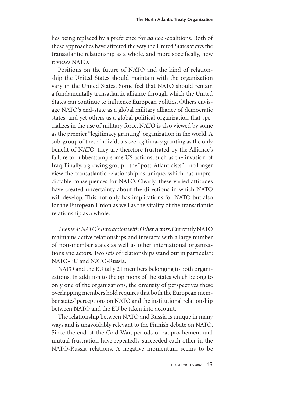lies being replaced by a preference for *ad hoc* -coalitions. Both of these approaches have affected the way the United States views the transatlantic relationship as a whole, and more specifically, how it views NATO.

Positions on the future of NATO and the kind of relationship the United States should maintain with the organization vary in the United States. Some feel that NATO should remain a fundamentally transatlantic alliance through which the United States can continue to influence European politics. Others envisage NATO's end-state as a global military alliance of democratic states, and yet others as a global political organization that specializes in the use of military force. NATO is also viewed by some as the premier "legitimacy granting" organization in the world. A sub-group of these individuals see legitimacy granting as the only benefit of NATO, they are therefore frustrated by the Alliance's failure to rubberstamp some US actions, such as the invasion of Iraq. Finally, a growing group – the "post-Atlanticists" – no longer view the transatlantic relationship as unique, which has unpredictable consequences for NATO. Clearly, these varied attitudes have created uncertainty about the directions in which NATO will develop. This not only has implications for NATO but also for the European Union as well as the vitality of the transatlantic relationship as a whole.

*Theme 4: NATO's Interaction with Other Actors***.** Currently NATO maintains active relationships and interacts with a large number of non-member states as well as other international organizations and actors. Two sets of relationships stand out in particular: NATO-EU and NATO-Russia.

NATO and the EU tally 21 members belonging to both organizations. In addition to the opinions of the states which belong to only one of the organizations, the diversity of perspectives these overlapping members hold requires that both the European member states' perceptions on NATO and the institutional relationship between NATO and the EU be taken into account.

The relationship between NATO and Russia is unique in many ways and is unavoidably relevant to the Finnish debate on NATO. Since the end of the Cold War, periods of rapprochement and mutual frustration have repeatedly succeeded each other in the NATO-Russia relations. A negative momentum seems to be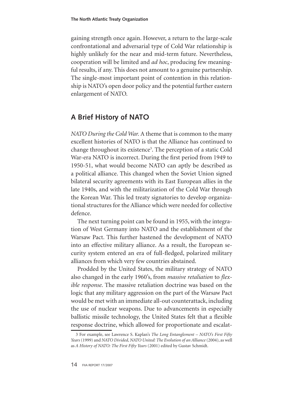gaining strength once again. However, a return to the large-scale confrontational and adversarial type of Cold War relationship is highly unlikely for the near and mid-term future. Nevertheless, cooperation will be limited and *ad hoc*, producing few meaningful results, if any. This does not amount to a genuine partnership. The single-most important point of contention in this relationship is NATO's open door policy and the potential further eastern enlargement of NATO.

#### **A Brief History of NATO**

*NATO During the Cold War.* A theme that is common to the many excellent histories of NATO is that the Alliance has continued to change throughout its existence<sup>3</sup>. The perception of a static Cold War-era NATO is incorrect. During the first period from 1949 to 1950-51, what would become NATO can aptly be described as a political alliance. This changed when the Soviet Union signed bilateral security agreements with its East European allies in the late 1940s, and with the militarization of the Cold War through the Korean War. This led treaty signatories to develop organizational structures for the Alliance which were needed for collective defence.

The next turning point can be found in 1955, with the integration of West Germany into NATO and the establishment of the Warsaw Pact. This further hastened the development of NATO into an effective military alliance. As a result, the European security system entered an era of full-fledged, polarized military alliances from which very few countries abstained.

Prodded by the United States, the military strategy of NATO also changed in the early 1960's, from *massive retaliation* to *flexible response*. The massive retaliation doctrine was based on the logic that any military aggression on the part of the Warsaw Pact would be met with an immediate all-out counterattack, including the use of nuclear weapons. Due to advancements in especially ballistic missile technology, the United States felt that a flexible response doctrine, which allowed for proportionate and escalat-

For example, see Lawrence S. Kaplan's *The Long Entanglement – NATO's First Fifty Years* (1999) and *NATO Divided, NATO United: The Evolution of an Alliance* (2004), as well as *A History of NATO: The First Fifty Years* (2001) edited by Gustav Schmidt.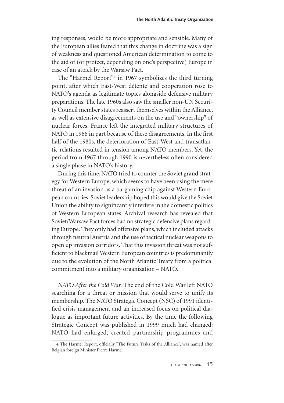ing responses, would be more appropriate and sensible. Many of the European allies feared that this change in doctrine was a sign of weakness and questioned American determination to come to the aid of (or protect, depending on one's perspective) Europe in case of an attack by the Warsaw Pact.

The "Harmel Report"<sup>4</sup> in 1967 symbolizes the third turning point, after which East-West détente and cooperation rose to NATO's agenda as legitimate topics alongside defensive military preparations. The late 1960s also saw the smaller non-UN Security Council member states reassert themselves within the Alliance, as well as extensive disagreements on the use and "ownership" of nuclear forces. France left the integrated military structures of NATO in 1966 in part because of these disagreements. In the first half of the 1980s, the deterioration of East-West and transatlantic relations resulted in tension among NATO members. Yet, the period from 1967 through 1990 is nevertheless often considered a single phase in NATO's history.

During this time, NATO tried to counter the Soviet grand strategy for Western Europe, which seems to have been using the mere threat of an invasion as a bargaining chip against Western European countries. Soviet leadership hoped this would give the Soviet Union the ability to significantly interfere in the domestic politics of Western European states. Archival research has revealed that Soviet/Warsaw Pact forces had no strategic defensive plans regarding Europe. They only had offensive plans, which included attacks through neutral Austria and the use of tactical nuclear weapons to open up invasion corridors. That this invasion threat was not sufficient to blackmail Western European countries is predominantly due to the evolution of the North Atlantic Treaty from a political commitment into a military organization – NATO.

*NATO After the Cold War.* The end of the Cold War left NATO searching for a threat or mission that would serve to unify its membership. The NATO Strategic Concept (NSC) of 1991 identified crisis management and an increased focus on political dialogue as important future activities. By the time the following Strategic Concept was published in 1999 much had changed: NATO had enlarged, created partnership programmes and

The Harmel Report, officially "The Future Tasks of the Alliance", was named after Belgian foreign Minister Pierre Harmel.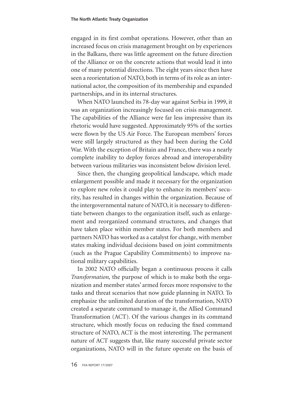engaged in its first combat operations. However, other than an increased focus on crisis management brought on by experiences in the Balkans, there was little agreement on the future direction of the Alliance or on the concrete actions that would lead it into one of many potential directions. The eight years since then have seen a reorientation of NATO, both in terms of its role as an international actor, the composition of its membership and expanded partnerships, and in its internal structures.

When NATO launched its 78-day war against Serbia in 1999, it was an organization increasingly focused on crisis management. The capabilities of the Alliance were far less impressive than its rhetoric would have suggested. Approximately 95% of the sorties were flown by the US Air Force. The European members' forces were still largely structured as they had been during the Cold War. With the exception of Britain and France, there was a nearly complete inability to deploy forces abroad and interoperability between various militaries was inconsistent below division level.

Since then, the changing geopolitical landscape, which made enlargement possible and made it necessary for the organization to explore new roles it could play to enhance its members' security, has resulted in changes within the organization. Because of the intergovernmental nature of NATO, it is necessary to differentiate between changes to the organization itself, such as enlargement and reorganized command structures, and changes that have taken place within member states. For both members and partners NATO has worked as a catalyst for change, with member states making individual decisions based on joint commitments (such as the Prague Capability Commitments) to improve national military capabilities.

In 2002 NATO officially began a continuous process it calls *Transformation,* the purpose of which is to make both the organization and member states' armed forces more responsive to the tasks and threat scenarios that now guide planning in NATO. To emphasize the unlimited duration of the transformation, NATO created a separate command to manage it, the Allied Command Transformation (ACT). Of the various changes in its command structure, which mostly focus on reducing the fixed command structure of NATO, ACT is the most interesting. The permanent nature of ACT suggests that, like many successful private sector organizations, NATO will in the future operate on the basis of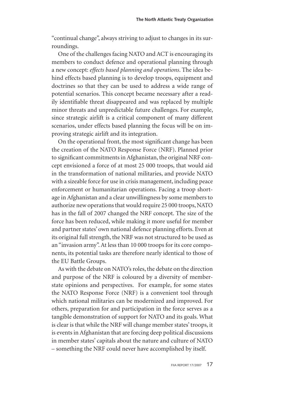"continual change", always striving to adjust to changes in its surroundings.

One of the challenges facing NATO and ACT is encouraging its members to conduct defence and operational planning through a new concept: *effects based planning and operations*. The idea behind effects based planning is to develop troops, equipment and doctrines so that they can be used to address a wide range of potential scenarios. This concept became necessary after a readily identifiable threat disappeared and was replaced by multiple minor threats and unpredictable future challenges. For example, since strategic airlift is a critical component of many different scenarios, under effects based planning the focus will be on improving strategic airlift and its integration.

On the operational front, the most significant change has been the creation of the NATO Response Force (NRF). Planned prior to significant commitments in Afghanistan, the original NRF concept envisioned a force of at most 25 000 troops, that would aid in the transformation of national militaries, and provide NATO with a sizeable force for use in crisis management, including peace enforcement or humanitarian operations. Facing a troop shortage in Afghanistan and a clear unwillingness by some members to authorize new operations that would require 25 000 troops, NATO has in the fall of 2007 changed the NRF concept. The size of the force has been reduced, while making it more useful for member and partner states' own national defence planning efforts. Even at its original full strength, the NRF was not structured to be used as an "invasion army". At less than 10 000 troops for its core components, its potential tasks are therefore nearly identical to those of the EU Battle Groups.

As with the debate on NATO's roles, the debate on the direction and purpose of the NRF is coloured by a diversity of memberstate opinions and perspectives. For example, for some states the NATO Response Force (NRF) is a convenient tool through which national militaries can be modernized and improved. For others, preparation for and participation in the force serves as a tangible demonstration of support for NATO and its goals. What is clear is that while the NRF will change member states' troops, it is events in Afghanistan that are forcing deep political discussions in member states' capitals about the nature and culture of NATO – something the NRF could never have accomplished by itself.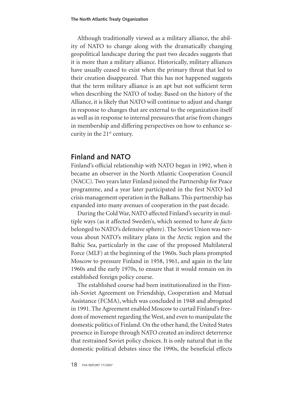Although traditionally viewed as a military alliance, the ability of NATO to change along with the dramatically changing geopolitical landscape during the past two decades suggests that it is more than a military alliance. Historically, military alliances have usually ceased to exist when the primary threat that led to their creation disappeared. That this has not happened suggests that the term military alliance is an apt but not sufficient term when describing the NATO of today. Based on the history of the Alliance, it is likely that NATO will continue to adjust and change in response to changes that are external to the organization itself as well as in response to internal pressures that arise from changes in membership and differing perspectives on how to enhance security in the 21<sup>st</sup> century.

#### **Finland and NATO**

Finland's official relationship with NATO began in 1992, when it became an observer in the North Atlantic Cooperation Council (NACC). Two years later Finland joined the Partnership for Peace programme, and a year later participated in the first NATO led crisis management operation in the Balkans. This partnership has expanded into many avenues of cooperation in the past decade.

During the Cold War, NATO affected Finland's security in multiple ways (as it affected Sweden's, which seemed to have *de facto* belonged to NATO's defensive sphere). The Soviet Union was nervous about NATO's military plans in the Arctic region and the Baltic Sea, particularly in the case of the proposed Multilateral Force (MLF) at the beginning of the 1960s. Such plans prompted Moscow to pressure Finland in 1958, 1961, and again in the late 1960s and the early 1970s, to ensure that it would remain on its established foreign policy course.

The established course had been institutionalized in the Finnish-Soviet Agreement on Friendship, Cooperation and Mutual Assistance (FCMA), which was concluded in 1948 and abrogated in 1991. The Agreement enabled Moscow to curtail Finland's freedom of movement regarding the West, and even to manipulate the domestic politics of Finland. On the other hand, the United States presence in Europe through NATO created an indirect deterrence that restrained Soviet policy choices. It is only natural that in the domestic political debates since the 1990s, the beneficial effects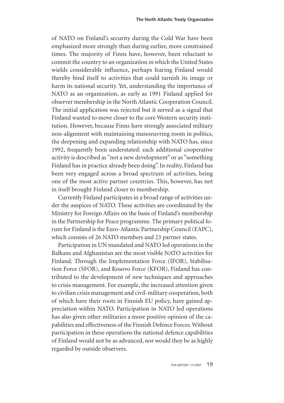of NATO on Finland's security during the Cold War have been emphasized more strongly than during earlier, more constrained times. The majority of Finns have, however, been reluctant to commit the country to an organization in which the United States wields considerable influence, perhaps fearing Finland would thereby bind itself to activities that could tarnish its image or harm its national security. Yet, understanding the importance of NATO as an organization, as early as 1991 Finland applied for observer membership in the North Atlantic Cooperation Council. The initial application was rejected but it served as a signal that Finland wanted to move closer to the core Western security institution. However, because Finns have strongly associated military non-alignment with maintaining manoeuvring room in politics, the deepening and expanding relationship with NATO has, since 1992, frequently been understated: each additional cooperative activity is described as "not a new development" or as "something Finland has in practice already been doing". In reality, Finland has been very engaged across a broad spectrum of activities, being one of the most active partner countries. This, however, has not in itself brought Finland closer to membership.

Currently Finland participates in a broad range of activities under the auspices of NATO. These activities are coordinated by the Ministry for Foreign Affairs on the basis of Finland's membership in the Partnership for Peace programme. The primary political forum for Finland is the Euro-Atlantic Partnership Council (EAPC), which consists of 26 NATO members and 23 partner states.

Participation in UN mandated and NATO led operations in the Balkans and Afghanistan are the most visible NATO activities for Finland. Through the Implementation Force (IFOR), Stabilisation Force (SFOR), and Kosovo Force (KFOR), Finland has contributed to the development of new techniques and approaches to crisis management. For example, the increased attention given to civilian crisis management and civil-military cooperation, both of which have their roots in Finnish EU policy, have gained appreciation within NATO. Participation in NATO led operations has also given other militaries a more positive opinion of the capabilities and effectiveness of the Finnish Defence Forces. Without participation in these operations the national defence capabilities of Finland would not be as advanced, nor would they be as highly regarded by outside observers.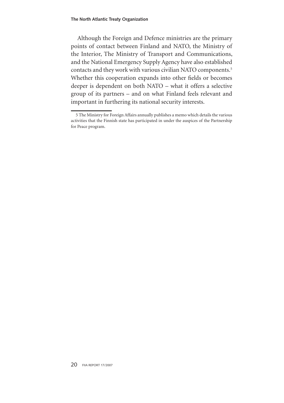Although the Foreign and Defence ministries are the primary points of contact between Finland and NATO, the Ministry of the Interior, The Ministry of Transport and Communications, and the National Emergency Supply Agency have also established contacts and they work with various civilian NATO components. Whether this cooperation expands into other fields or becomes deeper is dependent on both NATO – what it offers a selective group of its partners – and on what Finland feels relevant and important in furthering its national security interests.

The Ministry for Foreign Affairs annually publishes a memo which details the various activities that the Finnish state has participated in under the auspices of the Partnership for Peace program.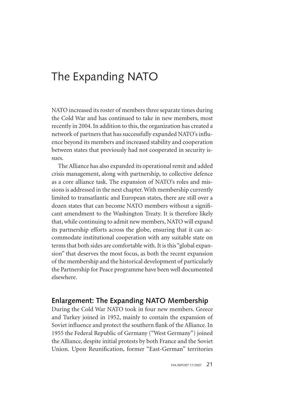# The Expanding NATO

NATO increased its roster of members three separate times during the Cold War and has continued to take in new members, most recently in 2004. In addition to this, the organization has created a network of partners that has successfully expanded NATO's influence beyond its members and increased stability and cooperation between states that previously had not cooperated in security issues.

The Alliance has also expanded its operational remit and added crisis management, along with partnership, to collective defence as a core alliance task. The expansion of NATO's roles and missions is addressed in the next chapter. With membership currently limited to transatlantic and European states, there are still over a dozen states that can become NATO members without a significant amendment to the Washington Treaty. It is therefore likely that, while continuing to admit new members, NATO will expand its partnership efforts across the globe, ensuring that it can accommodate institutional cooperation with any suitable state on terms that both sides are comfortable with. It is this "global expansion" that deserves the most focus, as both the recent expansion of the membership and the historical development of particularly the Partnership for Peace programme have been well documented elsewhere.

#### **Enlargement: The Expanding NATO Membership**

During the Cold War NATO took in four new members. Greece and Turkey joined in 1952, mainly to contain the expansion of Soviet influence and protect the southern flank of the Alliance. In 1955 the Federal Republic of Germany ("West Germany") joined the Alliance, despite initial protests by both France and the Soviet Union. Upon Reunification, former "East-German" territories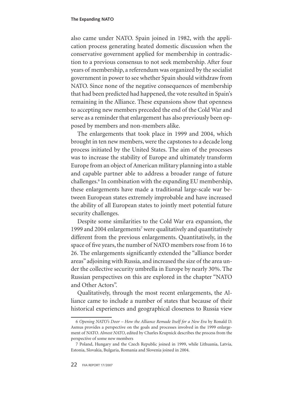also came under NATO. Spain joined in 1982, with the application process generating heated domestic discussion when the conservative government applied for membership in contradiction to a previous consensus to not seek membership. After four years of membership, a referendum was organized by the socialist government in power to see whether Spain should withdraw from NATO. Since none of the negative consequences of membership that had been predicted had happened, the vote resulted in Spain's remaining in the Alliance. These expansions show that openness to accepting new members preceded the end of the Cold War and serve as a reminder that enlargement has also previously been opposed by members and non-members alike.

The enlargements that took place in 1999 and 2004, which brought in ten new members, were the capstones to a decade long process initiated by the United States. The aim of the processes was to increase the stability of Europe and ultimately transform Europe from an object of American military planning into a stable and capable partner able to address a broader range of future challenges.<sup>6</sup> In combination with the expanding EU membership, these enlargements have made a traditional large-scale war between European states extremely improbable and have increased the ability of all European states to jointly meet potential future security challenges.

Despite some similarities to the Cold War era expansion, the 1999 and 2004 enlargements<sup>7</sup> were qualitatively and quantitatively different from the previous enlargements. Quantitatively, in the space of five years, the number of NATO members rose from 16 to 26. The enlargements significantly extended the "alliance border areas" adjoining with Russia, and increased the size of the area under the collective security umbrella in Europe by nearly 30%. The Russian perspectives on this are explored in the chapter "NATO and Other Actors".

Qualitatively, through the most recent enlargements, the Alliance came to include a number of states that because of their historical experiences and geographical closeness to Russia view

*Opening NATO's Door – How the Alliance Remade Itself for a New Era* by Ronald D. Asmus provides a perspective on the goals and processes involved in the 1999 enlargement of NATO. *Almost NATO*, edited by Charles Krupnick describes the process from the perspective of some new members

<sup>7</sup> Poland, Hungary and the Czech Republic joined in 1999, while Lithuania, Latvia, Estonia, Slovakia, Bulgaria, Romania and Slovenia joined in 2004.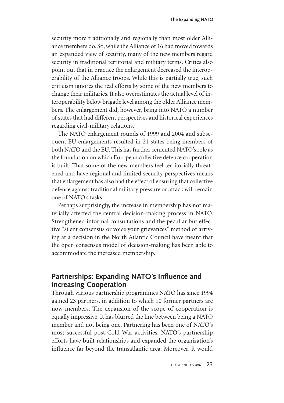security more traditionally and regionally than most older Alliance members do. So, while the Alliance of 16 had moved towards an expanded view of security, many of the new members regard security in traditional territorial and military terms. Critics also point out that in practice the enlargement decreased the interoperability of the Alliance troops. While this is partially true, such criticism ignores the real efforts by some of the new members to change their militaries. It also overestimates the actual level of interoperability below brigade level among the older Alliance members. The enlargement did, however, bring into NATO a number of states that had different perspectives and historical experiences regarding civil-military relations.

The NATO enlargement rounds of 1999 and 2004 and subsequent EU enlargements resulted in 21 states being members of both NATO and the EU. This has further cemented NATO's role as the foundation on which European collective defence cooperation is built. That some of the new members feel territorially threatened and have regional and limited security perspectives means that enlargement has also had the effect of ensuring that collective defence against traditional military pressure or attack will remain one of NATO's tasks.

Perhaps surprisingly, the increase in membership has not materially affected the central decision-making process in NATO. Strengthened informal consultations and the peculiar but effective "silent consensus or voice your grievances" method of arriving at a decision in the North Atlantic Council have meant that the open consensus model of decision-making has been able to accommodate the increased membership.

#### **Partnerships: Expanding NATO's Influence and Increasing Cooperation**

Through various partnership programmes NATO has since 1994 gained 23 partners, in addition to which 10 former partners are now members. The expansion of the scope of cooperation is equally impressive. It has blurred the line between being a NATO member and not being one. Partnering has been one of NATO's most successful post-Cold War activities. NATO's partnership efforts have built relationships and expanded the organization's influence far beyond the transatlantic area. Moreover, it would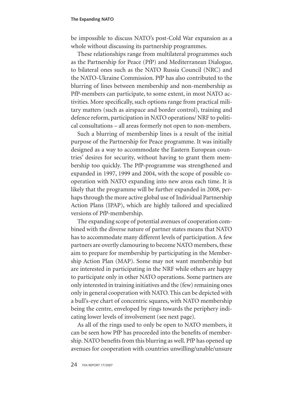#### **The Expanding NATO**

be impossible to discuss NATO's post-Cold War expansion as a whole without discussing its partnership programmes.

These relationships range from multilateral programmes such as the Partnership for Peace (PfP) and Mediterranean Dialogue, to bilateral ones such as the NATO Russia Council (NRC) and the NATO-Ukraine Commission. PfP has also contributed to the blurring of lines between membership and non-membership as PfP-members can participate, to some extent, in most NATO activities. More specifically, such options range from practical military matters (such as airspace and border control), training and defence reform, participation in NATO operations/ NRF to political consultations – all areas formerly not open to non-members.

Such a blurring of membership lines is a result of the initial purpose of the Partnership for Peace programme. It was initially designed as a way to accommodate the Eastern European countries' desires for security, without having to grant them membership too quickly. The PfP-programme was strengthened and expanded in 1997, 1999 and 2004, with the scope of possible cooperation with NATO expanding into new areas each time. It is likely that the programme will be further expanded in 2008, perhaps through the more active global use of Individual Partnership Action Plans (IPAP), which are highly tailored and specialized versions of PfP-membership.

The expanding scope of potential avenues of cooperation combined with the diverse nature of partner states means that NATO has to accommodate many different levels of participation. A few partners are overtly clamouring to become NATO members, these aim to prepare for membership by participating in the Membership Action Plan (MAP). Some may not want membership but are interested in participating in the NRF while others are happy to participate only in other NATO operations. Some partners are only interested in training initiatives and the (few) remaining ones only in general cooperation with NATO. This can be depicted with a bull's-eye chart of concentric squares, with NATO membership being the centre, enveloped by rings towards the periphery indicating lower levels of involvement (see next page).

As all of the rings used to only be open to NATO members, it can be seen how PfP has proceeded into the benefits of membership. NATO benefits from this blurring as well. PfP has opened up avenues for cooperation with countries unwilling/unable/unsure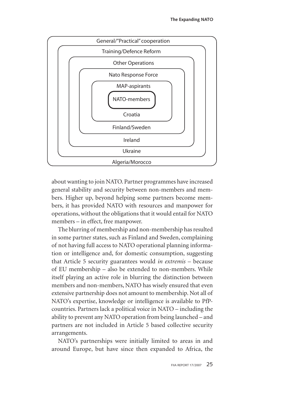

about wanting to join NATO. Partner programmes have increased general stability and security between non-members and members. Higher up, beyond helping some partners become members, it has provided NATO with resources and manpower for operations, without the obligations that it would entail for NATO members – in effect, free manpower.

The blurring of membership and non-membership has resulted in some partner states, such as Finland and Sweden, complaining of not having full access to NATO operational planning information or intelligence and, for domestic consumption, suggesting that Article 5 security guarantees would *in extremis* – because of EU membership – also be extended to non-members. While itself playing an active role in blurring the distinction between members and non-members, NATO has wisely ensured that even extensive partnership does not amount to membership. Not all of NATO's expertise, knowledge or intelligence is available to PfPcountries. Partners lack a political voice in NATO – including the ability to prevent any NATO operation from being launched – and partners are not included in Article 5 based collective security arrangements.

NATO's partnerships were initially limited to areas in and around Europe, but have since then expanded to Africa, the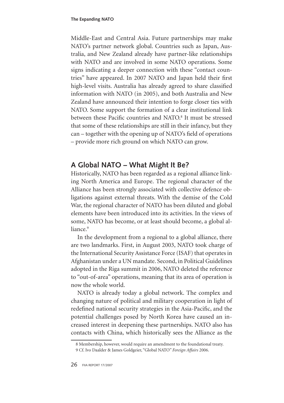Middle-East and Central Asia. Future partnerships may make NATO's partner network global. Countries such as Japan, Australia, and New Zealand already have partner-like relationships with NATO and are involved in some NATO operations. Some signs indicating a deeper connection with these "contact countries" have appeared. In 2007 NATO and Japan held their first high-level visits. Australia has already agreed to share classified information with NATO (in 2005), and both Australia and New Zealand have announced their intention to forge closer ties with NATO. Some support the formation of a clear institutional link between these Pacific countries and NATO.<sup>8</sup> It must be stressed that some of these relationships are still in their infancy, but they can – together with the opening up of NATO's field of operations – provide more rich ground on which NATO can grow.

#### **A Global NATO – What Might It Be?**

Historically, NATO has been regarded as a regional alliance linking North America and Europe. The regional character of the Alliance has been strongly associated with collective defence obligations against external threats. With the demise of the Cold War, the regional character of NATO has been diluted and global elements have been introduced into its activities. In the views of some, NATO has become, or at least should become, a global alliance.<sup>9</sup>

In the development from a regional to a global alliance, there are two landmarks. First, in August 2003, NATO took charge of the International Security Assistance Force (ISAF) that operates in Afghanistan under a UN mandate. Second, in Political Guidelines adopted in the Riga summit in 2006, NATO deleted the reference to "out-of-area" operations, meaning that its area of operation is now the whole world.

NATO is already today a global network. The complex and changing nature of political and military cooperation in light of redefined national security strategies in the Asia-Pacific, and the potential challenges posed by North Korea have caused an increased interest in deepening these partnerships. NATO also has contacts with China, which historically sees the Alliance as the

<sup>8</sup> Membership, however, would require an amendment to the foundational treaty.

Cf. Ivo Daalder & James Goldgeier, "Global NATO" *Foreign Affairs* 2006.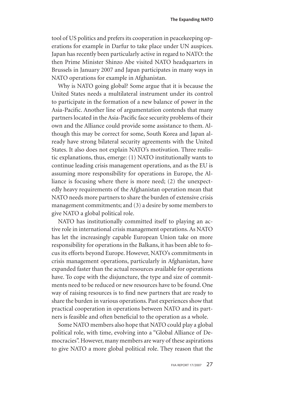tool of US politics and prefers its cooperation in peacekeeping operations for example in Darfur to take place under UN auspices. Japan has recently been particularly active in regard to NATO: the then Prime Minister Shinzo Abe visited NATO headquarters in Brussels in January 2007 and Japan participates in many ways in NATO operations for example in Afghanistan.

Why is NATO going global? Some argue that it is because the United States needs a multilateral instrument under its control to participate in the formation of a new balance of power in the Asia-Pacific. Another line of argumentation contends that many partners located in the Asia-Pacific face security problems of their own and the Alliance could provide some assistance to them. Although this may be correct for some, South Korea and Japan already have strong bilateral security agreements with the United States. It also does not explain NATO's motivation. Three realistic explanations, thus, emerge: (1) NATO institutionally wants to continue leading crisis management operations, and as the EU is assuming more responsibility for operations in Europe, the Alliance is focusing where there is more need; (2) the unexpectedly heavy requirements of the Afghanistan operation mean that NATO needs more partners to share the burden of extensive crisis management commitments; and (3) a desire by some members to give NATO a global political role.

NATO has institutionally committed itself to playing an active role in international crisis management operations. As NATO has let the increasingly capable European Union take on more responsibility for operations in the Balkans, it has been able to focus its efforts beyond Europe. However, NATO's commitments in crisis management operations, particularly in Afghanistan, have expanded faster than the actual resources available for operations have. To cope with the disjuncture, the type and size of commitments need to be reduced or new resources have to be found. One way of raising resources is to find new partners that are ready to share the burden in various operations. Past experiences show that practical cooperation in operations between NATO and its partners is feasible and often beneficial to the operation as a whole.

Some NATO members also hope that NATO could play a global political role, with time, evolving into a "Global Alliance of Democracies". However, many members are wary of these aspirations to give NATO a more global political role. They reason that the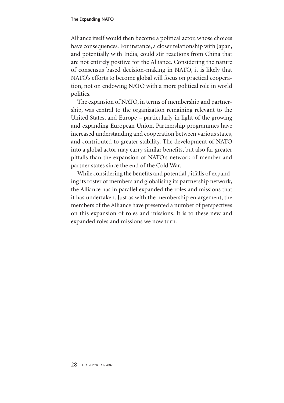Alliance itself would then become a political actor, whose choices have consequences. For instance, a closer relationship with Japan, and potentially with India, could stir reactions from China that are not entirely positive for the Alliance. Considering the nature of consensus based decision-making in NATO, it is likely that NATO's efforts to become global will focus on practical cooperation, not on endowing NATO with a more political role in world politics.

The expansion of NATO, in terms of membership and partnership, was central to the organization remaining relevant to the United States, and Europe – particularly in light of the growing and expanding European Union. Partnership programmes have increased understanding and cooperation between various states, and contributed to greater stability. The development of NATO into a global actor may carry similar benefits, but also far greater pitfalls than the expansion of NATO's network of member and partner states since the end of the Cold War.

While considering the benefits and potential pitfalls of expanding its roster of members and globalising its partnership network, the Alliance has in parallel expanded the roles and missions that it has undertaken. Just as with the membership enlargement, the members of the Alliance have presented a number of perspectives on this expansion of roles and missions. It is to these new and expanded roles and missions we now turn.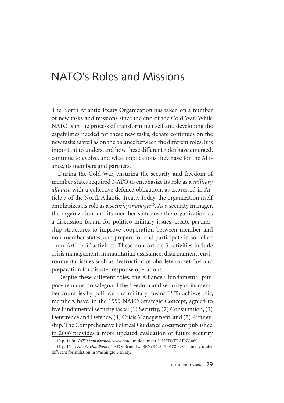## NATO's Roles and Missions

The North Atlantic Treaty Organization has taken on a number of new tasks and missions since the end of the Cold War. While NATO is in the process of transforming itself and developing the capabilities needed for these new tasks, debate continues on the new tasks as well as on the balance between the different roles. It is important to understand how these different roles have emerged, continue to evolve, and what implications they have for the Alliance, its members and partners.

During the Cold War, ensuring the security and freedom of member states required NATO to emphasize its role as a *military alliance* with a collective defence obligation, as expressed in Article 5 of the North Atlantic Treaty. Today, the organization itself emphasizes its role as a *security manager*<sup>10</sup> . As a security manager, the organization and its member states use the organization as a discussion forum for politico-military issues, create partnership structures to improve cooperation between member and non-member states, and prepare for and participate in so-called "non-Article 5" activities. These non-Article 5 activities include crisis management, humanitarian assistance, disarmament, environmental issues such as destruction of obsolete rocket fuel and preparation for disaster response operations.

Despite these different roles, the Alliance's fundamental purpose remains "to safeguard the freedom and security of its member countries by political and military means."<sup>11</sup> To achieve this, members have, in the 1999 NATO Strategic Concept, agreed to five fundamental security tasks: (1) Security, (2) Consultation, (3) Deterrence and Defence, (4) Crisis Management, and (5) Partnership. The Comprehensive Political Guidance document published in 2006 provides a more updated evaluation of future security

<sup>10</sup> p. 44 in *NATO transformed*, www.nato.int document #: NATOTRAENG0604

<sup>11</sup> p. 15 in *NATO Handbook*, NATO: Brussels. ISBN: 92-845-0178-4. Originally under different formulation in Washington Treaty.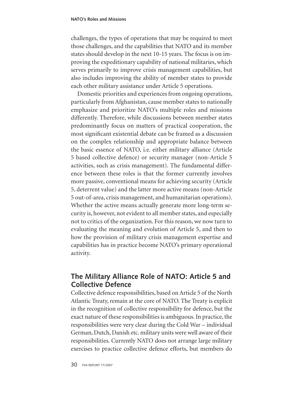challenges, the types of operations that may be required to meet those challenges, and the capabilities that NATO and its member states should develop in the next 10-15 years. The focus is on improving the expeditionary capability of national militaries, which serves primarily to improve crisis management capabilities, but also includes improving the ability of member states to provide each other military assistance under Article 5 operations.

Domestic priorities and experiences from ongoing operations, particularly from Afghanistan, cause member states to nationally emphasize and prioritize NATO's multiple roles and missions differently. Therefore, while discussions between member states predominantly focus on matters of practical cooperation, the most significant existential debate can be framed as a discussion on the complex relationship and appropriate balance between the basic essence of NATO, i.e. either military alliance (Article 5 based collective defence) or security manager (non-Article 5 activities, such as crisis management). The fundamental difference between these roles is that the former currently involves more passive, conventional means for achieving security (Article 5, deterrent value) and the latter more active means (non-Article 5 out-of-area, crisis management, and humanitarian operations). Whether the active means actually generate more long-term security is, however, not evident to all member states, and especially not to critics of the organization. For this reason, we now turn to evaluating the meaning and evolution of Article 5, and then to how the provision of military crisis management expertise and capabilities has in practice become NATO's primary operational activity.

#### **The Military Alliance Role of NATO: Article 5 and Collective Defence**

Collective defence responsibilities, based on Article 5 of the North Atlantic Treaty, remain at the core of NATO. The Treaty is explicit in the recognition of collective responsibility for defence, but the exact nature of these responsibilities is ambiguous. In practice, the responsibilities were very clear during the Cold War – individual German, Dutch, Danish etc. military units were well aware of their responsibilities. Currently NATO does not arrange large military exercises to practice collective defence efforts, but members do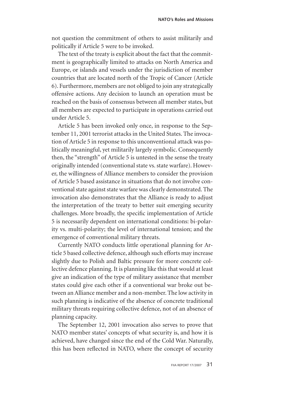not question the commitment of others to assist militarily and politically if Article 5 were to be invoked.

The text of the treaty is explicit about the fact that the commitment is geographically limited to attacks on North America and Europe, or islands and vessels under the jurisdiction of member countries that are located north of the Tropic of Cancer (Article 6). Furthermore, members are not obliged to join any strategically offensive actions. Any decision to launch an operation must be reached on the basis of consensus between all member states, but all members are expected to participate in operations carried out under Article 5.

Article 5 has been invoked only once, in response to the September 11, 2001 terrorist attacks in the United States. The invocation of Article 5 in response to this unconventional attack was politically meaningful, yet militarily largely symbolic. Consequently then, the "strength" of Article 5 is untested in the sense the treaty originally intended (conventional state vs. state warfare). However, the willingness of Alliance members to consider the provision of Article 5 based assistance in situations that do not involve conventional state against state warfare was clearly demonstrated. The invocation also demonstrates that the Alliance is ready to adjust the interpretation of the treaty to better suit emerging security challenges. More broadly, the specific implementation of Article 5 is necessarily dependent on international conditions: bi-polarity vs. multi-polarity; the level of international tension; and the emergence of conventional military threats.

Currently NATO conducts little operational planning for Article 5 based collective defence, although such efforts may increase slightly due to Polish and Baltic pressure for more concrete collective defence planning. It is planning like this that would at least give an indication of the type of military assistance that member states could give each other if a conventional war broke out between an Alliance member and a non-member. The low activity in such planning is indicative of the absence of concrete traditional military threats requiring collective defence, not of an absence of planning capacity.

The September 12, 2001 invocation also serves to prove that NATO member states' concepts of what security is, and how it is achieved, have changed since the end of the Cold War. Naturally, this has been reflected in NATO, where the concept of security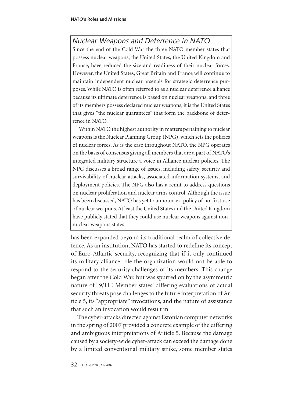#### *Nuclear Weapons and Deterrence in NATO*

Since the end of the Cold War the three NATO member states that possess nuclear weapons, the United States, the United Kingdom and France, have reduced the size and readiness of their nuclear forces. However, the United States, Great Britain and France will continue to maintain independent nuclear arsenals for strategic deterrence purposes. While NATO is often referred to as a nuclear deterrence alliance because its ultimate deterrence is based on nuclear weapons, and three of its members possess declared nuclear weapons, it is the United States that gives "the nuclear guarantees" that form the backbone of deterrence in NATO.

Within NATO the highest authority in matters pertaining to nuclear weapons is the Nuclear Planning Group (NPG), which sets the policies of nuclear forces. As is the case throughout NATO, the NPG operates on the basis of consensus giving all members that are a part of NATO's integrated military structure a voice in Alliance nuclear policies. The NPG discusses a broad range of issues, including safety, security and survivability of nuclear attacks, associated information systems, and deployment policies. The NPG also has a remit to address questions on nuclear proliferation and nuclear arms control. Although the issue has been discussed, NATO has yet to announce a policy of no-first use of nuclear weapons. At least the United States and the United Kingdom have publicly stated that they could use nuclear weapons against nonnuclear weapons states.

has been expanded beyond its traditional realm of collective defence. As an institution, NATO has started to redefine its concept of Euro-Atlantic security, recognizing that if it only continued its military alliance role the organization would not be able to respond to the security challenges of its members. This change began after the Cold War, but was spurred on by the asymmetric nature of "9/11". Member states' differing evaluations of actual security threats pose challenges to the future interpretation of Article 5, its "appropriate" invocations, and the nature of assistance that such an invocation would result in.

The cyber-attacks directed against Estonian computer networks in the spring of 2007 provided a concrete example of the differing and ambiguous interpretations of Article 5. Because the damage caused by a society-wide cyber-attack can exceed the damage done by a limited conventional military strike, some member states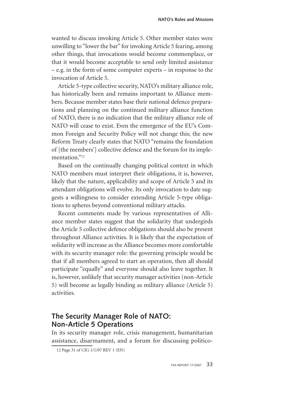wanted to discuss invoking Article 5. Other member states were unwilling to "lower the bar" for invoking Article 5 fearing, among other things, that invocations would become commonplace, or that it would become acceptable to send only limited assistance – e.g. in the form of some computer experts – in response to the invocation of Article 5.

Article 5-type collective security, NATO's military alliance role, has historically been and remains important to Alliance members. Because member states base their national defence preparations and planning on the continued military alliance function of NATO, there is no indication that the military alliance role of NATO will cease to exist. Even the emergence of the EU's Common Foreign and Security Policy will not change this; the new Reform Treaty clearly states that NATO "remains the foundation of [the members'] collective defence and the forum for its implementation."<sup>12</sup>

Based on the continually changing political context in which NATO members must interpret their obligations, it is, however, likely that the nature, applicability and scope of Article 5 and its attendant obligations will evolve. Its only invocation to date suggests a willingness to consider extending Article 5-type obligations to spheres beyond conventional military attacks.

Recent comments made by various representatives of Alliance member states suggest that the solidarity that undergirds the Article 5 collective defence obligations should also be present throughout Alliance activities. It is likely that the expectation of solidarity will increase as the Alliance becomes more comfortable with its security manager role: the governing principle would be that if all members agreed to start an operation, then all should participate "equally" and everyone should also leave together. It is, however, unlikely that security manager activities (non-Article 5) will become as legally binding as military alliance (Article 5) activities.

#### **The Security Manager Role of NATO: Non-Article 5 Operations**

In its security manager role, crisis management, humanitarian assistance, disarmament, and a forum for discussing politico-

<sup>12</sup> Page 31 of CIG 1/1/07 REV 1 (EN)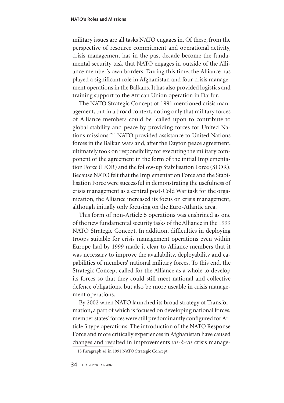military issues are all tasks NATO engages in. Of these, from the perspective of resource commitment and operational activity, crisis management has in the past decade become the fundamental security task that NATO engages in outside of the Alliance member's own borders. During this time, the Alliance has played a significant role in Afghanistan and four crisis management operations in the Balkans. It has also provided logistics and training support to the African Union operation in Darfur.

The NATO Strategic Concept of 1991 mentioned crisis management, but in a broad context, noting only that military forces of Alliance members could be "called upon to contribute to global stability and peace by providing forces for United Nations missions."13 NATO provided assistance to United Nations forces in the Balkan wars and, after the Dayton peace agreement, ultimately took on responsibility for executing the military component of the agreement in the form of the initial Implementation Force (IFOR) and the follow-up Stabilisation Force (SFOR). Because NATO felt that the Implementation Force and the Stabilisation Force were successful in demonstrating the usefulness of crisis management as a central post-Cold War task for the organization, the Alliance increased its focus on crisis management, although initially only focusing on the Euro-Atlantic area.

This form of non-Article 5 operations was enshrined as one of the new fundamental security tasks of the Alliance in the 1999 NATO Strategic Concept. In addition, difficulties in deploying troops suitable for crisis management operations even within Europe had by 1999 made it clear to Alliance members that it was necessary to improve the availability, deployability and capabilities of members' national military forces. To this end, the Strategic Concept called for the Alliance as a whole to develop its forces so that they could still meet national and collective defence obligations, but also be more useable in crisis management operations.

By 2002 when NATO launched its broad strategy of Transformation, a part of which is focused on developing national forces, member states' forces were still predominantly configured for Article 5 type operations. The introduction of the NATO Response Force and more critically experiences in Afghanistan have caused changes and resulted in improvements *vis-à-vis* crisis manage-

<sup>13</sup> Paragraph 41 in 1991 NATO Strategic Concept.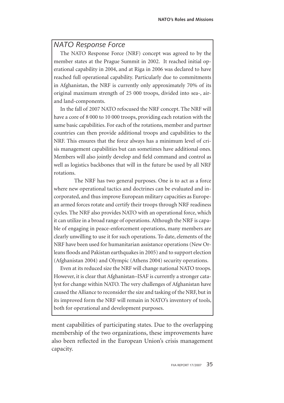#### *NATO Response Force*

The NATO Response Force (NRF) concept was agreed to by the member states at the Prague Summit in 2002. It reached initial operational capability in 2004, and at Riga in 2006 was declared to have reached full operational capability. Particularly due to commitments in Afghanistan, the NRF is currently only approximately 70% of its original maximum strength of 25 000 troops, divided into sea-, airand land-components.

In the fall of 2007 NATO refocused the NRF concept. The NRF will have a core of 8 000 to 10 000 troops, providing each rotation with the same basic capabilities. For each of the rotations, member and partner countries can then provide additional troops and capabilities to the NRF. This ensures that the force always has a minimum level of crisis management capabilities but can sometimes have additional ones. Members will also jointly develop and field command and control as well as logistics backbones that will in the future be used by all NRF rotations.

The NRF has two general purposes. One is to act as a force where new operational tactics and doctrines can be evaluated and incorporated, and thus improve European military capacities as European armed forces rotate and certify their troops through NRF readiness cycles. The NRF also provides NATO with an operational force, which it can utilize in a broad range of operations. Although the NRF is capable of engaging in peace-enforcement operations, many members are clearly unwilling to use it for such operations. To date, elements of the NRF have been used for humanitarian assistance operations (New Orleans floods and Pakistan earthquakes in 2005) and to support election (Afghanistan 2004) and Olympic (Athens 2004) security operations.

Even at its reduced size the NRF will change national NATO troops. However, it is clear that Afghanistan–ISAF is currently a stronger catalyst for change within NATO. The very challenges of Afghanistan have caused the Alliance to reconsider the size and tasking of the NRF, but in its improved form the NRF will remain in NATO's inventory of tools, both for operational and development purposes.

ment capabilities of participating states. Due to the overlapping membership of the two organizations, these improvements have also been reflected in the European Union's crisis management capacity.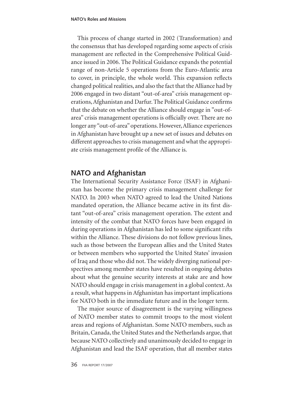This process of change started in 2002 (Transformation) and the consensus that has developed regarding some aspects of crisis management are reflected in the Comprehensive Political Guidance issued in 2006. The Political Guidance expands the potential range of non-Article 5 operations from the Euro-Atlantic area to cover, in principle, the whole world. This expansion reflects changed political realities, and also the fact that the Alliance had by 2006 engaged in two distant "out-of-area" crisis management operations, Afghanistan and Darfur. The Political Guidance confirms that the debate on whether the Alliance should engage in "out-ofarea" crisis management operations is officially over. There are no longer any "out-of-area" operations. However, Alliance experiences in Afghanistan have brought up a new set of issues and debates on different approaches to crisis management and what the appropriate crisis management profile of the Alliance is.

#### **NATO and Afghanistan**

The International Security Assistance Force (ISAF) in Afghanistan has become the primary crisis management challenge for NATO. In 2003 when NATO agreed to lead the United Nations mandated operation, the Alliance became active in its first distant "out-of-area" crisis management operation. The extent and intensity of the combat that NATO forces have been engaged in during operations in Afghanistan has led to some significant rifts within the Alliance. These divisions do not follow previous lines, such as those between the European allies and the United States or between members who supported the United States' invasion of Iraq and those who did not. The widely diverging national perspectives among member states have resulted in ongoing debates about what the genuine security interests at stake are and how NATO should engage in crisis management in a global context. As a result, what happens in Afghanistan has important implications for NATO both in the immediate future and in the longer term.

The major source of disagreement is the varying willingness of NATO member states to commit troops to the most violent areas and regions of Afghanistan. Some NATO members, such as Britain, Canada, the United States and the Netherlands argue, that because NATO collectively and unanimously decided to engage in Afghanistan and lead the ISAF operation, that all member states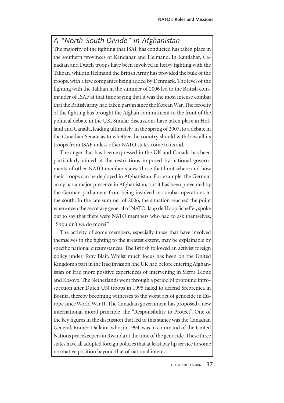### *A "North-South Divide" in Afghanistan*

The majority of the fighting that ISAF has conducted has taken place in the southern provinces of Kandahar and Helmand. In Kandahar, Canadian and Dutch troops have been involved in heavy fighting with the Taliban, while in Helmand the British Army has provided the bulk of the troops, with a few companies being added by Denmark. The level of the fighting with the Taliban in the summer of 2006 led to the British commander of ISAF at that time saying that it was the most intense combat that the British army had taken part in since the Korean War. The ferocity of the fighting has brought the Afghan commitment to the front of the political debate in the UK. Similar discussions have taken place in Holland and Canada, leading ultimately, in the spring of 2007, to a debate in the Canadian Senate as to whether the country should withdraw all its troops from ISAF unless other NATO states come to its aid.

The anger that has been expressed in the UK and Canada has been particularly aimed at the restrictions imposed by national governments of other NATO member states; those that limit where and how their troops can be deployed in Afghanistan. For example, the German army has a major presence in Afghanistan, but it has been prevented by the German parliament from being involved in combat operations in the south. In the late summer of 2006, the situation reached the point where even the secretary general of NATO, Jaap de Hoop Scheffer, spoke out to say that there were NATO members who had to ask themselves, "Shouldn't we do more?"

The activity of some members, especially those that have involved themselves in the fighting to the greatest extent, may be explainable by specific national circumstances. The British followed an activist foreign policy under Tony Blair. Whilst much focus has been on the United Kingdom's part in the Iraq invasion, the UK had before entering Afghanistan or Iraq more positive experiences of intervening in Sierra Leone and Kosovo. The Netherlands went through a period of profound introspection after Dutch UN troops in 1995 failed to defend Srebrenica in Bosnia, thereby becoming witnesses to the worst act of genocide in Europe since World War II. The Canadian government has proposed a new international moral principle, the "Responsibility to Protect". One of the key figures in the discussion that led to this stance was the Canadian General, Roméo Dallaire, who, in 1994, was in command of the United Nations peacekeepers in Rwanda at the time of the genocide. These three states have all adopted foreign policies that at least pay lip service to some normative position beyond that of national interest.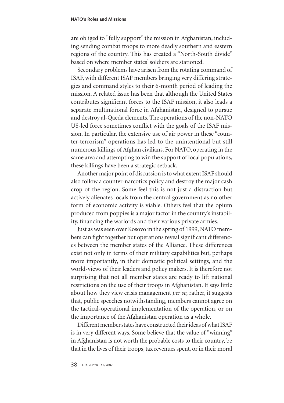are obliged to "fully support" the mission in Afghanistan, including sending combat troops to more deadly southern and eastern regions of the country. This has created a "North-South divide" based on where member states' soldiers are stationed.

Secondary problems have arisen from the rotating command of ISAF, with different ISAF members bringing very differing strategies and command styles to their 6-month period of leading the mission. A related issue has been that although the United States contributes significant forces to the ISAF mission, it also leads a separate multinational force in Afghanistan, designed to pursue and destroy al-Qaeda elements. The operations of the non-NATO US-led force sometimes conflict with the goals of the ISAF mission. In particular, the extensive use of air power in these "counter-terrorism" operations has led to the unintentional but still numerous killings of Afghan civilians. For NATO, operating in the same area and attempting to win the support of local populations, these killings have been a strategic setback.

Another major point of discussion is to what extent ISAF should also follow a counter-narcotics policy and destroy the major cash crop of the region. Some feel this is not just a distraction but actively alienates locals from the central government as no other form of economic activity is viable. Others feel that the opium produced from poppies is a major factor in the country's instability, financing the warlords and their various private armies.

Just as was seen over Kosovo in the spring of 1999, NATO members can fight together but operations reveal significant differences between the member states of the Alliance. These differences exist not only in terms of their military capabilities but, perhaps more importantly, in their domestic political settings, and the world-views of their leaders and policy makers. It is therefore not surprising that not all member states are ready to lift national restrictions on the use of their troops in Afghanistan. It says little about how they view crisis management *per se*; rather, it suggests that, public speeches notwithstanding, members cannot agree on the tactical-operational implementation of the operation, or on the importance of the Afghanistan operation as a whole.

Different member states have constructed their ideas of what ISAF is in very different ways. Some believe that the value of "winning" in Afghanistan is not worth the probable costs to their country, be that in the lives of their troops, tax revenues spent, or in their moral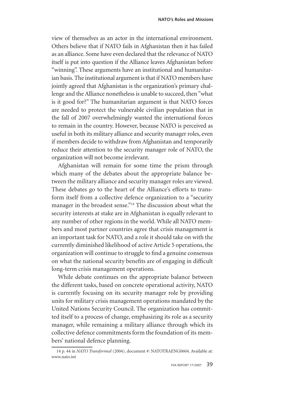view of themselves as an actor in the international environment. Others believe that if NATO fails in Afghanistan then it has failed as an alliance. Some have even declared that the relevance of NATO itself is put into question if the Alliance leaves Afghanistan before "winning". These arguments have an institutional and humanitarian basis. The institutional argument is that if NATO members have jointly agreed that Afghanistan is the organization's primary challenge and the Alliance nonetheless is unable to succeed, then "what is it good for?" The humanitarian argument is that NATO forces are needed to protect the vulnerable civilian population that in the fall of 2007 overwhelmingly wanted the international forces to remain in the country. However, because NATO is perceived as useful in both its military alliance and security manager roles, even if members decide to withdraw from Afghanistan and temporarily reduce their attention to the security manager role of NATO, the organization will not become irrelevant.

Afghanistan will remain for some time the prism through which many of the debates about the appropriate balance between the military alliance and security manager roles are viewed. These debates go to the heart of the Alliance's efforts to transform itself from a collective defence organization to a "security manager in the broadest sense."<sup>14</sup> The discussion about what the security interests at stake are in Afghanistan is equally relevant to any number of other regions in the world. While all NATO members and most partner countries agree that crisis management is an important task for NATO, and a role it should take on with the currently diminished likelihood of active Article 5 operations, the organization will continue to struggle to find a genuine consensus on what the national security benefits are of engaging in difficult long-term crisis management operations.

While debate continues on the appropriate balance between the different tasks, based on concrete operational activity, NATO is currently focusing on its security manager role by providing units for military crisis management operations mandated by the United Nations Security Council. The organization has committed itself to a process of change, emphasizing its role as a security manager, while remaining a military alliance through which its collective defence commitments form the foundation of its members' national defence planning.

<sup>14</sup> p. 44 in *NATO Transformed* (2004), document #: NATOTRAENG0604. Available at: www.nato.int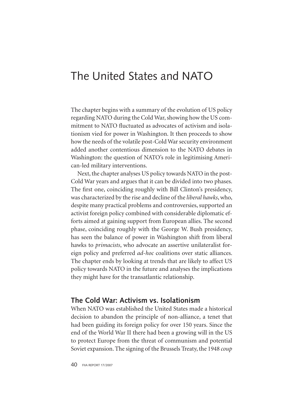## The United States and NATO

The chapter begins with a summary of the evolution of US policy regarding NATO during the Cold War, showing how the US commitment to NATO fluctuated as advocates of activism and isolationism vied for power in Washington. It then proceeds to show how the needs of the volatile post-Cold War security environment added another contentious dimension to the NATO debates in Washington: the question of NATO's role in legitimising American-led military interventions.

Next, the chapter analyses US policy towards NATO in the post-Cold War years and argues that it can be divided into two phases. The first one, coinciding roughly with Bill Clinton's presidency, was characterized by the rise and decline of the *liberal hawks*, who, despite many practical problems and controversies, supported an activist foreign policy combined with considerable diplomatic efforts aimed at gaining support from European allies. The second phase, coinciding roughly with the George W. Bush presidency, has seen the balance of power in Washington shift from liberal hawks to *primacists*, who advocate an assertive unilateralist foreign policy and preferred *ad-hoc* coalitions over static alliances. The chapter ends by looking at trends that are likely to affect US policy towards NATO in the future and analyses the implications they might have for the transatlantic relationship.

#### **The Cold War: Activism vs. Isolationism**

When NATO was established the United States made a historical decision to abandon the principle of non-alliance, a tenet that had been guiding its foreign policy for over 150 years. Since the end of the World War II there had been a growing will in the US to protect Europe from the threat of communism and potential Soviet expansion. The signing of the Brussels Treaty, the 1948 *coup*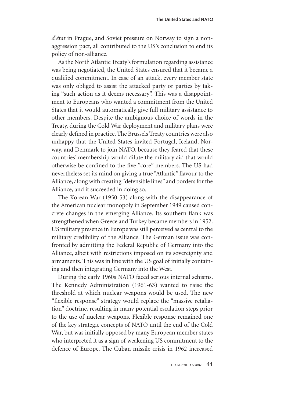*d'état* in Prague, and Soviet pressure on Norway to sign a nonaggression pact, all contributed to the US's conclusion to end its policy of non-alliance.

As the North Atlantic Treaty's formulation regarding assistance was being negotiated, the United States ensured that it became a qualified commitment. In case of an attack, every member state was only obliged to assist the attacked party or parties by taking "such action as it deems necessary". This was a disappointment to Europeans who wanted a commitment from the United States that it would automatically give full military assistance to other members. Despite the ambiguous choice of words in the Treaty, during the Cold War deployment and military plans were clearly defined in practice. The Brussels Treaty countries were also unhappy that the United States invited Portugal, Iceland, Norway, and Denmark to join NATO, because they feared that these countries' membership would dilute the military aid that would otherwise be confined to the five "core" members. The US had nevertheless set its mind on giving a true "Atlantic" flavour to the Alliance, along with creating "defensible lines" and borders for the Alliance, and it succeeded in doing so.

The Korean War (1950-53) along with the disappearance of the American nuclear monopoly in September 1949 caused concrete changes in the emerging Alliance. Its southern flank was strengthened when Greece and Turkey became members in 1952. US military presence in Europe was still perceived as central to the military credibility of the Alliance. The German issue was confronted by admitting the Federal Republic of Germany into the Alliance, albeit with restrictions imposed on its sovereignty and armaments. This was in line with the US goal of initially containing and then integrating Germany into the West.

During the early 1960s NATO faced serious internal schisms. The Kennedy Administration (1961-63) wanted to raise the threshold at which nuclear weapons would be used. The new "flexible response" strategy would replace the "massive retaliation" doctrine, resulting in many potential escalation steps prior to the use of nuclear weapons. Flexible response remained one of the key strategic concepts of NATO until the end of the Cold War, but was initially opposed by many European member states who interpreted it as a sign of weakening US commitment to the defence of Europe. The Cuban missile crisis in 1962 increased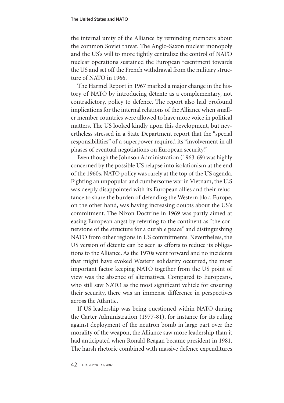the internal unity of the Alliance by reminding members about the common Soviet threat. The Anglo-Saxon nuclear monopoly and the US's will to more tightly centralize the control of NATO nuclear operations sustained the European resentment towards the US and set off the French withdrawal from the military structure of NATO in 1966.

The Harmel Report in 1967 marked a major change in the history of NATO by introducing détente as a complementary, not contradictory, policy to defence. The report also had profound implications for the internal relations of the Alliance when smaller member countries were allowed to have more voice in political matters. The US looked kindly upon this development, but nevertheless stressed in a State Department report that the "special responsibilities" of a superpower required its "involvement in all phases of eventual negotiations on European security."

Even though the Johnson Administration (1963-69) was highly concerned by the possible US relapse into isolationism at the end of the 1960s, NATO policy was rarely at the top of the US agenda. Fighting an unpopular and cumbersome war in Vietnam, the U.S was deeply disappointed with its European allies and their reluctance to share the burden of defending the Western bloc. Europe, on the other hand, was having increasing doubts about the US's commitment. The Nixon Doctrine in 1969 was partly aimed at easing European angst by referring to the continent as "the cornerstone of the structure for a durable peace" and distinguishing NATO from other regions in US commitments. Nevertheless, the US version of détente can be seen as efforts to reduce its obligations to the Alliance. As the 1970s went forward and no incidents that might have evoked Western solidarity occurred, the most important factor keeping NATO together from the US point of view was the absence of alternatives. Compared to Europeans, who still saw NATO as the most significant vehicle for ensuring their security, there was an immense difference in perspectives across the Atlantic.

If US leadership was being questioned within NATO during the Carter Administration (1977-81), for instance for its ruling against deployment of the neutron bomb in large part over the morality of the weapon, the Alliance saw more leadership than it had anticipated when Ronald Reagan became president in 1981. The harsh rhetoric combined with massive defence expenditures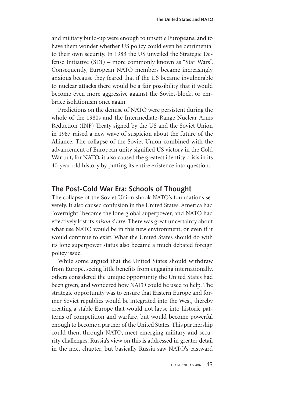and military build-up were enough to unsettle Europeans, and to have them wonder whether US policy could even be detrimental to their own security. In 1983 the US unveiled the Strategic Defense Initiative (SDI) – more commonly known as "Star Wars". Consequently, European NATO members became increasingly anxious because they feared that if the US became invulnerable to nuclear attacks there would be a fair possibility that it would become even more aggressive against the Soviet-block, or embrace isolationism once again.

Predictions on the demise of NATO were persistent during the whole of the 1980s and the Intermediate-Range Nuclear Arms Reduction (INF) Treaty signed by the US and the Soviet Union in 1987 raised a new wave of suspicion about the future of the Alliance. The collapse of the Soviet Union combined with the advancement of European unity signified US victory in the Cold War but, for NATO, it also caused the greatest identity crisis in its 40-year-old history by putting its entire existence into question.

#### **The Post-Cold War Era: Schools of Thought**

The collapse of the Soviet Union shook NATO's foundations severely. It also caused confusion in the United States. America had "overnight" become the lone global superpower, and NATO had effectively lost its *raison d'être*. There was great uncertainty about what use NATO would be in this new environment, or even if it would continue to exist. What the United States should do with its lone superpower status also became a much debated foreign policy issue.

While some argued that the United States should withdraw from Europe, seeing little benefits from engaging internationally, others considered the unique opportunity the United States had been given, and wondered how NATO could be used to help. The strategic opportunity was to ensure that Eastern Europe and former Soviet republics would be integrated into the West, thereby creating a stable Europe that would not lapse into historic patterns of competition and warfare, but would become powerful enough to become a partner of the United States. This partnership could then, through NATO, meet emerging military and security challenges. Russia's view on this is addressed in greater detail in the next chapter, but basically Russia saw NATO's eastward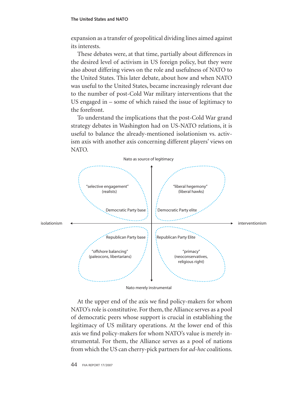expansion as a transfer of geopolitical dividing lines aimed against its interests.

These debates were, at that time, partially about differences in the desired level of activism in US foreign policy, but they were also about differing views on the role and usefulness of NATO to the United States. This later debate, about how and when NATO was useful to the United States, became increasingly relevant due to the number of post-Cold War military interventions that the US engaged in – some of which raised the issue of legitimacy to the forefront.

To understand the implications that the post-Cold War grand strategy debates in Washington had on US-NATO relations, it is useful to balance the already-mentioned isolationism vs. activism axis with another axis concerning different players' views on NATO.



Nato merely instrumental

At the upper end of the axis we find policy-makers for whom NATO's role is constitutive. For them, the Alliance serves as a pool of democratic peers whose support is crucial in establishing the legitimacy of US military operations. At the lower end of this axis we find policy-makers for whom NATO's value is merely instrumental. For them, the Alliance serves as a pool of nations from which the US can cherry-pick partners for *ad-hoc* coalitions.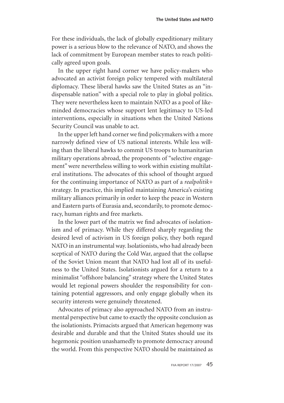For these individuals, the lack of globally expeditionary military power is a serious blow to the relevance of NATO, and shows the lack of commitment by European member states to reach politically agreed upon goals.

In the upper right hand corner we have policy-makers who advocated an activist foreign policy tempered with multilateral diplomacy. These liberal hawks saw the United States as an "indispensable nation" with a special role to play in global politics. They were nevertheless keen to maintain NATO as a pool of likeminded democracies whose support lent legitimacy to US-led interventions, especially in situations when the United Nations Security Council was unable to act.

In the upper left hand corner we find policymakers with a more narrowly defined view of US national interests. While less willing than the liberal hawks to commit US troops to humanitarian military operations abroad, the proponents of "selective engagement" were nevertheless willing to work within existing multilateral institutions. The advocates of this school of thought argued for the continuing importance of NATO as part of a *realpolitik+* strategy. In practice, this implied maintaining America's existing military alliances primarily in order to keep the peace in Western and Eastern parts of Eurasia and, secondarily, to promote democracy, human rights and free markets.

In the lower part of the matrix we find advocates of isolationism and of primacy. While they differed sharply regarding the desired level of activism in US foreign policy, they both regard NATO in an instrumental way. Isolationists, who had already been sceptical of NATO during the Cold War, argued that the collapse of the Soviet Union meant that NATO had lost all of its usefulness to the United States. Isolationists argued for a return to a minimalist "offshore balancing" strategy where the United States would let regional powers shoulder the responsibility for containing potential aggressors, and only engage globally when its security interests were genuinely threatened.

Advocates of primacy also approached NATO from an instrumental perspective but came to exactly the opposite conclusion as the isolationists. Primacists argued that American hegemony was desirable and durable and that the United States should use its hegemonic position unashamedly to promote democracy around the world. From this perspective NATO should be maintained as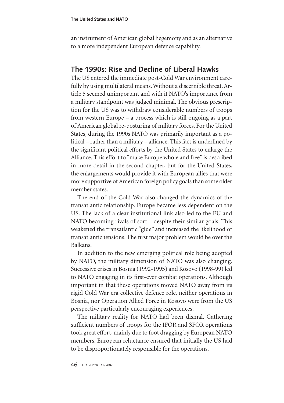an instrument of American global hegemony and as an alternative to a more independent European defence capability.

#### **The 1990s: Rise and Decline of Liberal Hawks**

The US entered the immediate post-Cold War environment carefully by using multilateral means. Without a discernible threat, Article 5 seemed unimportant and with it NATO's importance from a military standpoint was judged minimal. The obvious prescription for the US was to withdraw considerable numbers of troops from western Europe – a process which is still ongoing as a part of American global re-posturing of military forces. For the United States, during the 1990s NATO was primarily important as a political – rather than a military – alliance. This fact is underlined by the significant political efforts by the United States to enlarge the Alliance. This effort to "make Europe whole and free" is described in more detail in the second chapter, but for the United States, the enlargements would provide it with European allies that were more supportive of American foreign policy goals than some older member states.

The end of the Cold War also changed the dynamics of the transatlantic relationship. Europe became less dependent on the US. The lack of a clear institutional link also led to the EU and NATO becoming rivals of sort – despite their similar goals. This weakened the transatlantic "glue" and increased the likelihood of transatlantic tensions. The first major problem would be over the Balkans.

In addition to the new emerging political role being adopted by NATO, the military dimension of NATO was also changing. Successive crises in Bosnia (1992-1995) and Kosovo (1998-99) led to NATO engaging in its first-ever combat operations. Although important in that these operations moved NATO away from its rigid Cold War era collective defence role, neither operations in Bosnia, nor Operation Allied Force in Kosovo were from the US perspective particularly encouraging experiences.

The military reality for NATO had been dismal. Gathering sufficient numbers of troops for the IFOR and SFOR operations took great effort, mainly due to foot dragging by European NATO members. European reluctance ensured that initially the US had to be disproportionately responsible for the operations.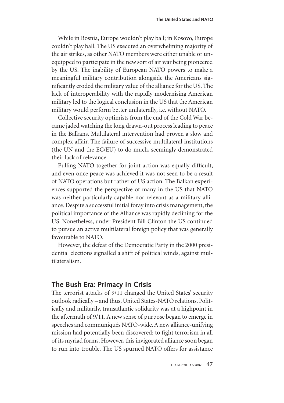While in Bosnia, Europe wouldn't play ball; in Kosovo, Europe couldn't play ball. The US executed an overwhelming majority of the air strikes, as other NATO members were either unable or unequipped to participate in the new sort of air war being pioneered by the US. The inability of European NATO powers to make a meaningful military contribution alongside the Americans significantly eroded the military value of the alliance for the US. The lack of interoperability with the rapidly modernising American military led to the logical conclusion in the US that the American military would perform better unilaterally, i.e. without NATO.

Collective security optimists from the end of the Cold War became jaded watching the long drawn-out process leading to peace in the Balkans. Multilateral intervention had proven a slow and complex affair. The failure of successive multilateral institutions (the UN and the EC/EU) to do much, seemingly demonstrated their lack of relevance.

Pulling NATO together for joint action was equally difficult, and even once peace was achieved it was not seen to be a result of NATO operations but rather of US action. The Balkan experiences supported the perspective of many in the US that NATO was neither particularly capable nor relevant as a military alliance. Despite a successful initial foray into crisis management, the political importance of the Alliance was rapidly declining for the US. Nonetheless, under President Bill Clinton the US continued to pursue an active multilateral foreign policy that was generally favourable to NATO.

However, the defeat of the Democratic Party in the 2000 presidential elections signalled a shift of political winds, against multilateralism.

#### **The Bush Era: Primacy in Crisis**

The terrorist attacks of 9/11 changed the United States' security outlook radically – and thus, United States-NATO relations. Politically and militarily, transatlantic solidarity was at a highpoint in the aftermath of 9/11. A new sense of purpose began to emerge in speeches and communiqués NATO-wide. A new alliance-unifying mission had potentially been discovered: to fight terrorism in all of its myriad forms. However, this invigorated alliance soon began to run into trouble. The US spurned NATO offers for assistance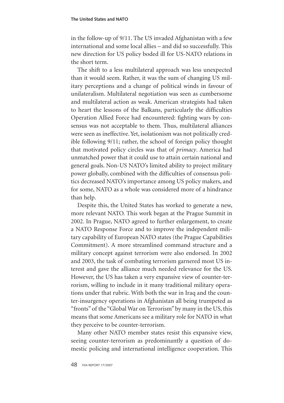in the follow-up of 9/11. The US invaded Afghanistan with a few international and some local allies – and did so successfully. This new direction for US policy boded ill for US-NATO relations in the short term.

The shift to a less multilateral approach was less unexpected than it would seem. Rather, it was the sum of changing US military perceptions and a change of political winds in favour of unilateralism. Multilateral negotiation was seen as cumbersome and multilateral action as weak. American strategists had taken to heart the lessons of the Balkans, particularly the difficulties Operation Allied Force had encountered: fighting wars by consensus was not acceptable to them. Thus, multilateral alliances were seen as ineffective. Yet, isolationism was not politically credible following 9/11; rather, the school of foreign policy thought that motivated policy circles was that of *primacy*. America had unmatched power that it could use to attain certain national and general goals. Non-US NATO's limited ability to project military power globally, combined with the difficulties of consensus politics decreased NATO's importance among US policy makers, and for some, NATO as a whole was considered more of a hindrance than help.

Despite this, the United States has worked to generate a new, more relevant NATO. This work began at the Prague Summit in 2002. In Prague, NATO agreed to further enlargement, to create a NATO Response Force and to improve the independent military capability of European NATO states (the Prague Capabilities Commitment). A more streamlined command structure and a military concept against terrorism were also endorsed. In 2002 and 2003, the task of combating terrorism garnered most US interest and gave the alliance much needed relevance for the US. However, the US has taken a very expansive view of counter-terrorism, willing to include in it many traditional military operations under that rubric. With both the war in Iraq and the counter-insurgency operations in Afghanistan all being trumpeted as "fronts" of the "Global War on Terrorism" by many in the US, this means that some Americans see a military role for NATO in what they perceive to be counter-terrorism.

Many other NATO member states resist this expansive view, seeing counter-terrorism as predominantly a question of domestic policing and international intelligence cooperation. This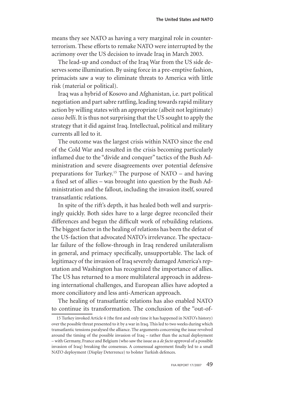means they see NATO as having a very marginal role in counterterrorism. These efforts to remake NATO were interrupted by the acrimony over the US decision to invade Iraq in March 2003.

The lead-up and conduct of the Iraq War from the US side deserves some illumination. By using force in a pre-emptive fashion, primacists saw a way to eliminate threats to America with little risk (material or political).

Iraq was a hybrid of Kosovo and Afghanistan, i.e. part political negotiation and part sabre rattling, leading towards rapid military action by willing states with an appropriate (albeit not legitimate) *casus belli*. It is thus not surprising that the US sought to apply the strategy that it did against Iraq. Intellectual, political and military currents all led to it.

The outcome was the largest crisis within NATO since the end of the Cold War and resulted in the crisis becoming particularly inflamed due to the "divide and conquer" tactics of the Bush Administration and severe disagreements over potential defensive preparations for Turkey.15 The purpose of NATO – and having a fixed set of allies – was brought into question by the Bush Administration and the fallout, including the invasion itself, soured transatlantic relations.

In spite of the rift's depth, it has healed both well and surprisingly quickly. Both sides have to a large degree reconciled their differences and begun the difficult work of rebuilding relations. The biggest factor in the healing of relations has been the defeat of the US-faction that advocated NATO's irrelevance. The spectacular failure of the follow-through in Iraq rendered unilateralism in general, and primacy specifically, unsupportable. The lack of legitimacy of the invasion of Iraq severely damaged America's reputation and Washington has recognized the importance of allies. The US has returned to a more multilateral approach in addressing international challenges, and European allies have adopted a more conciliatory and less anti-American approach.

The healing of transatlantic relations has also enabled NATO to continue its transformation. The conclusion of the "out-of-

<sup>15</sup> Turkey invoked Article 4 (the first and only time it has happened in NATO's history) over the possible threat presented to it by a war in Iraq. This led to two weeks during which transatlantic tensions paralysed the alliance. The arguments concerning the issue revolved around the timing of the possible invasion of Iraq – rather than the actual deployment – with Germany, France and Belgium (who saw the issue as a *de facto* approval of a possible invasion of Iraq) breaking the consensus. A consensual agreement finally led to a small NATO deployment (Display Deterrence) to bolster Turkish defences.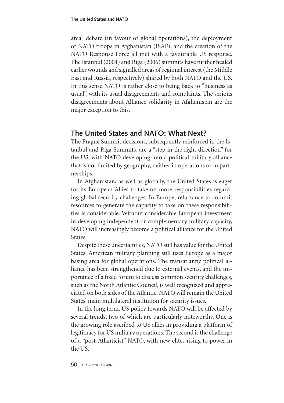area" debate (in favour of global operations), the deployment of NATO troops in Afghanistan (ISAF), and the creation of the NATO Response Force all met with a favourable US response. The Istanbul (2004) and Riga (2006) summits have further healed earlier wounds and signalled areas of regional interest (the Middle East and Russia, respectively) shared by both NATO and the US. In this sense NATO is rather close to being back to "business as usual", with its usual disagreements and complaints. The serious disagreements about Alliance solidarity in Afghanistan are the major exception to this.

#### **The United States and NATO: What Next?**

The Prague Summit decisions, subsequently reinforced in the Istanbul and Riga Summits, are a "step in the right direction" for the US, with NATO developing into a political-military alliance that is not limited by geography, neither in operations or in partnerships.

In Afghanistan, as well as globally, the United States is eager for its European Allies to take on more responsibilities regarding global security challenges. In Europe, reluctance to commit resources to generate the capacity to take on these responsibilities is considerable. Without considerable European investment in developing independent or complementary military capacity, NATO will increasingly become a political alliance for the United States.

Despite these uncertainties, NATO still has value for the United States. American military planning still uses Europe as a major basing area for global operations. The transatlantic political alliance has been strengthened due to external events, and the importance of a fixed forum to discuss common security challenges, such as the North Atlantic Council, is well recognized and appreciated on both sides of the Atlantic. NATO will remain the United States' main multilateral institution for security issues.

In the long term, US policy towards NATO will be affected by several trends, two of which are particularly noteworthy. One is the growing role ascribed to US allies in providing a platform of legitimacy for US military operations. The second is the challenge of a "post-Atlanticist" NATO, with new elites rising to power in the US.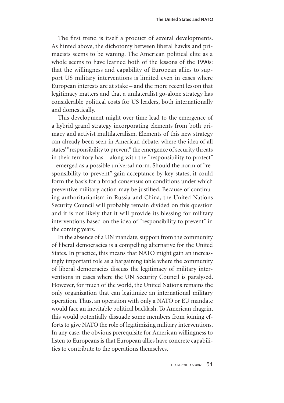The first trend is itself a product of several developments. As hinted above, the dichotomy between liberal hawks and primacists seems to be waning. The American political elite as a whole seems to have learned both of the lessons of the 1990s: that the willingness and capability of European allies to support US military interventions is limited even in cases where European interests are at stake – and the more recent lesson that legitimacy matters and that a unilateralist go-alone strategy has considerable political costs for US leaders, both internationally and domestically.

This development might over time lead to the emergence of a hybrid grand strategy incorporating elements from both primacy and activist multilateralism. Elements of this new strategy can already been seen in American debate, where the idea of all states' "responsibility to prevent" the emergence of security threats in their territory has – along with the "responsibility to protect" – emerged as a possible universal norm. Should the norm of "responsibility to prevent" gain acceptance by key states, it could form the basis for a broad consensus on conditions under which preventive military action may be justified. Because of continuing authoritarianism in Russia and China, the United Nations Security Council will probably remain divided on this question and it is not likely that it will provide its blessing for military interventions based on the idea of "responsibility to prevent" in the coming years.

In the absence of a UN mandate, support from the community of liberal democracies is a compelling alternative for the United States. In practice, this means that NATO might gain an increasingly important role as a bargaining table where the community of liberal democracies discuss the legitimacy of military interventions in cases where the UN Security Council is paralysed. However, for much of the world, the United Nations remains the only organization that can legitimize an international military operation. Thus, an operation with only a NATO or EU mandate would face an inevitable political backlash. To American chagrin, this would potentially dissuade some members from joining efforts to give NATO the role of legitimizing military interventions. In any case, the obvious prerequisite for American willingness to listen to Europeans is that European allies have concrete capabilities to contribute to the operations themselves.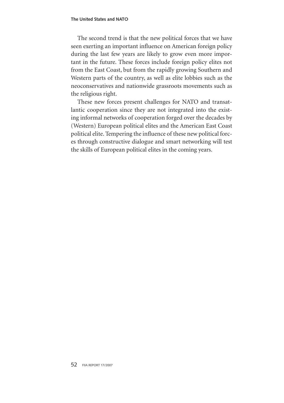The second trend is that the new political forces that we have seen exerting an important influence on American foreign policy during the last few years are likely to grow even more important in the future. These forces include foreign policy elites not from the East Coast, but from the rapidly growing Southern and Western parts of the country, as well as elite lobbies such as the neoconservatives and nationwide grassroots movements such as the religious right.

These new forces present challenges for NATO and transatlantic cooperation since they are not integrated into the existing informal networks of cooperation forged over the decades by (Western) European political elites and the American East Coast political elite. Tempering the influence of these new political forces through constructive dialogue and smart networking will test the skills of European political elites in the coming years.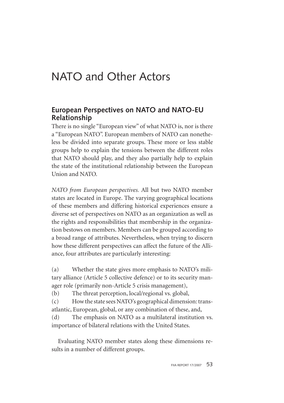# NATO and Other Actors

#### **European Perspectives on NATO and NATO-EU Relationship**

There is no single "European view" of what NATO is, nor is there a "European NATO". European members of NATO can nonetheless be divided into separate groups. These more or less stable groups help to explain the tensions between the different roles that NATO should play, and they also partially help to explain the state of the institutional relationship between the European Union and NATO.

*NATO from European perspectives.* All but two NATO member states are located in Europe. The varying geographical locations of these members and differing historical experiences ensure a diverse set of perspectives on NATO as an organization as well as the rights and responsibilities that membership in the organization bestows on members. Members can be grouped according to a broad range of attributes. Nevertheless, when trying to discern how these different perspectives can affect the future of the Alliance, four attributes are particularly interesting:

(a) Whether the state gives more emphasis to NATO's military alliance (Article 5 collective defence) or to its security manager role (primarily non-Article 5 crisis management),

(b) The threat perception, local/regional vs. global,

(c) How the state sees NATO's geographical dimension: transatlantic, European, global, or any combination of these, and,

(d) The emphasis on NATO as a multilateral institution vs. importance of bilateral relations with the United States.

Evaluating NATO member states along these dimensions results in a number of different groups.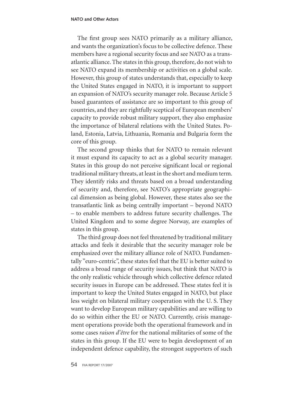The first group sees NATO primarily as a military alliance, and wants the organization's focus to be collective defence. These members have a regional security focus and see NATO as a transatlantic alliance. The states in this group, therefore, do not wish to see NATO expand its membership or activities on a global scale. However, this group of states understands that, especially to keep the United States engaged in NATO, it is important to support an expansion of NATO's security manager role. Because Article 5 based guarantees of assistance are so important to this group of countries, and they are rightfully sceptical of European members' capacity to provide robust military support, they also emphasize the importance of bilateral relations with the United States. Poland, Estonia, Latvia, Lithuania, Romania and Bulgaria form the core of this group.

The second group thinks that for NATO to remain relevant it must expand its capacity to act as a global security manager. States in this group do not perceive significant local or regional traditional military threats, at least in the short and medium term. They identify risks and threats based on a broad understanding of security and, therefore, see NATO's appropriate geographical dimension as being global. However, these states also see the transatlantic link as being centrally important – beyond NATO – to enable members to address future security challenges. The United Kingdom and to some degree Norway, are examples of states in this group.

The third group does not feel threatened by traditional military attacks and feels it desirable that the security manager role be emphasized over the military alliance role of NATO. Fundamentally "euro-centric", these states feel that the EU is better suited to address a broad range of security issues, but think that NATO is the only realistic vehicle through which collective defence related security issues in Europe can be addressed. These states feel it is important to keep the United States engaged in NATO, but place less weight on bilateral military cooperation with the U. S. They want to develop European military capabilities and are willing to do so within either the EU or NATO. Currently, crisis management operations provide both the operational framework and in some cases *raison d'être* for the national militaries of some of the states in this group. If the EU were to begin development of an independent defence capability, the strongest supporters of such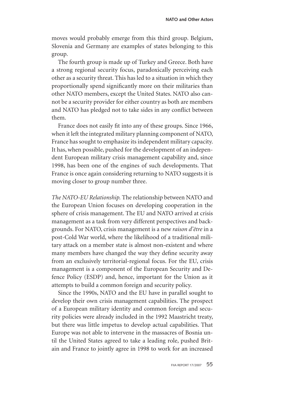moves would probably emerge from this third group. Belgium, Slovenia and Germany are examples of states belonging to this group.

The fourth group is made up of Turkey and Greece. Both have a strong regional security focus, paradoxically perceiving each other as a security threat. This has led to a situation in which they proportionally spend significantly more on their militaries than other NATO members, except the United States. NATO also cannot be a security provider for either country as both are members and NATO has pledged not to take sides in any conflict between them.

France does not easily fit into any of these groups. Since 1966, when it left the integrated military planning component of NATO, France has sought to emphasize its independent military capacity. It has, when possible, pushed for the development of an independent European military crisis management capability and, since 1998, has been one of the engines of such developments. That France is once again considering returning to NATO suggests it is moving closer to group number three.

*The NATO-EU Relationship.* The relationship between NATO and the European Union focuses on developing cooperation in the sphere of crisis management. The EU and NATO arrived at crisis management as a task from very different perspectives and backgrounds. For NATO, crisis management is a new *raison d'être* in a post-Cold War world, where the likelihood of a traditional military attack on a member state is almost non-existent and where many members have changed the way they define security away from an exclusively territorial-regional focus. For the EU, crisis management is a component of the European Security and Defence Policy (ESDP) and, hence, important for the Union as it attempts to build a common foreign and security policy.

Since the 1990s, NATO and the EU have in parallel sought to develop their own crisis management capabilities. The prospect of a European military identity and common foreign and security policies were already included in the 1992 Maastricht treaty, but there was little impetus to develop actual capabilities. That Europe was not able to intervene in the massacres of Bosnia until the United States agreed to take a leading role, pushed Britain and France to jointly agree in 1998 to work for an increased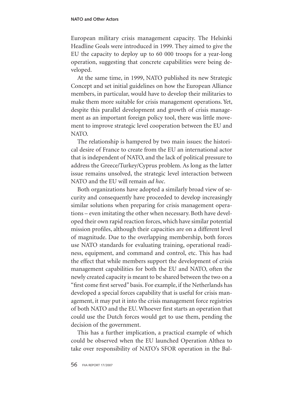European military crisis management capacity. The Helsinki Headline Goals were introduced in 1999. They aimed to give the EU the capacity to deploy up to 60 000 troops for a year-long operation, suggesting that concrete capabilities were being developed.

At the same time, in 1999, NATO published its new Strategic Concept and set initial guidelines on how the European Alliance members, in particular, would have to develop their militaries to make them more suitable for crisis management operations. Yet, despite this parallel development and growth of crisis management as an important foreign policy tool, there was little movement to improve strategic level cooperation between the EU and NATO.

The relationship is hampered by two main issues: the historical desire of France to create from the EU an international actor that is independent of NATO, and the lack of political pressure to address the Greece/Turkey/Cyprus problem. As long as the latter issue remains unsolved, the strategic level interaction between NATO and the EU will remain *ad hoc*.

Both organizations have adopted a similarly broad view of security and consequently have proceeded to develop increasingly similar solutions when preparing for crisis management operations – even imitating the other when necessary. Both have developed their own rapid reaction forces, which have similar potential mission profiles, although their capacities are on a different level of magnitude. Due to the overlapping membership, both forces use NATO standards for evaluating training, operational readiness, equipment, and command and control, etc. This has had the effect that while members support the development of crisis management capabilities for both the EU and NATO, often the newly created capacity is meant to be shared between the two on a "first come first served" basis. For example, if the Netherlands has developed a special forces capability that is useful for crisis management, it may put it into the crisis management force registries of both NATO and the EU. Whoever first starts an operation that could use the Dutch forces would get to use them, pending the decision of the government.

This has a further implication, a practical example of which could be observed when the EU launched Operation Althea to take over responsibility of NATO's SFOR operation in the Bal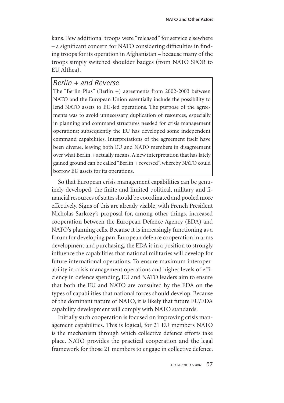kans. Few additional troops were "released" for service elsewhere – a significant concern for NATO considering difficulties in finding troops for its operation in Afghanistan – because many of the troops simply switched shoulder badges (from NATO SFOR to EU Althea).

#### *Berlin + and Reverse*

The "Berlin Plus" (Berlin +) agreements from 2002-2003 between NATO and the European Union essentially include the possibility to lend NATO assets to EU-led operations. The purpose of the agreements was to avoid unnecessary duplication of resources, especially in planning and command structures needed for crisis management operations; subsequently the EU has developed some independent command capabilities. Interpretations of the agreement itself have been diverse, leaving both EU and NATO members in disagreement over what Berlin + actually means. A new interpretation that has lately gained ground can be called "Berlin + reversed", whereby NATO could borrow EU assets for its operations.

So that European crisis management capabilities can be genuinely developed, the finite and limited political, military and financial resources of states should be coordinated and pooled more effectively. Signs of this are already visible, with French President Nicholas Sarkozy's proposal for, among other things, increased cooperation between the European Defence Agency (EDA) and NATO's planning cells. Because it is increasingly functioning as a forum for developing pan-European defence cooperation in arms development and purchasing, the EDA is in a position to strongly influence the capabilities that national militaries will develop for future international operations. To ensure maximum interoperability in crisis management operations and higher levels of efficiency in defence spending, EU and NATO leaders aim to ensure that both the EU and NATO are consulted by the EDA on the types of capabilities that national forces should develop. Because of the dominant nature of NATO, it is likely that future EU/EDA capability development will comply with NATO standards.

Initially such cooperation is focused on improving crisis management capabilities. This is logical, for 21 EU members NATO is the mechanism through which collective defence efforts take place. NATO provides the practical cooperation and the legal framework for those 21 members to engage in collective defence.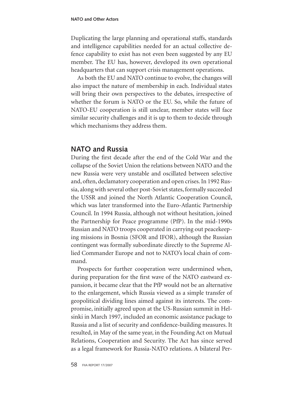Duplicating the large planning and operational staffs, standards and intelligence capabilities needed for an actual collective defence capability to exist has not even been suggested by any EU member. The EU has, however, developed its own operational headquarters that can support crisis management operations.

As both the EU and NATO continue to evolve, the changes will also impact the nature of membership in each. Individual states will bring their own perspectives to the debates, irrespective of whether the forum is NATO or the EU. So, while the future of NATO-EU cooperation is still unclear, member states will face similar security challenges and it is up to them to decide through which mechanisms they address them.

#### **NATO and Russia**

During the first decade after the end of the Cold War and the collapse of the Soviet Union the relations between NATO and the new Russia were very unstable and oscillated between selective and, often, declamatory cooperation and open crises. In 1992 Russia, along with several other post-Soviet states, formally succeeded the USSR and joined the North Atlantic Cooperation Council, which was later transformed into the Euro-Atlantic Partnership Council. In 1994 Russia, although not without hesitation, joined the Partnership for Peace programme (PfP). In the mid-1990s Russian and NATO troops cooperated in carrying out peacekeeping missions in Bosnia (SFOR and IFOR), although the Russian contingent was formally subordinate directly to the Supreme Allied Commander Europe and not to NATO's local chain of command.

Prospects for further cooperation were undermined when, during preparation for the first wave of the NATO eastward expansion, it became clear that the PfP would not be an alternative to the enlargement, which Russia viewed as a simple transfer of geopolitical dividing lines aimed against its interests. The compromise, initially agreed upon at the US-Russian summit in Helsinki in March 1997, included an economic assistance package to Russia and a list of security and confidence-building measures. It resulted, in May of the same year, in the Founding Act on Mutual Relations, Cooperation and Security. The Act has since served as a legal framework for Russia-NATO relations. A bilateral Per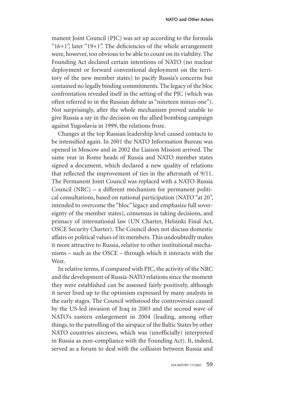manent Joint Council (PJC) was set up according to the formula " $16+1$ ", later " $19+1$ ". The deficiencies of the whole arrangement were, however, too obvious to be able to count on its viability. The Founding Act declared certain intentions of NATO (no nuclear deployment or forward conventional deployment on the territory of the new member states) to pacify Russia's concerns but contained no legally binding commitments. The legacy of the bloc confrontation revealed itself in the setting of the PJC (which was often referred to in the Russian debate as "nineteen minus one"). Not surprisingly, after the whole mechanism proved unable to give Russia a say in the decision on the allied bombing campaign against Yugoslavia in 1999, the relations froze.

Changes at the top Russian leadership level caused contacts to be intensified again. In 2001 the NATO Information Bureau was opened in Moscow and in 2002 the Liaison Mission arrived. The same year in Rome heads of Russia and NATO member states signed a document, which declared a new quality of relations that reflected the improvement of ties in the aftermath of 9/11. The Permanent Joint Council was replaced with a NATO-Russia Council (NRC) – a different mechanism for permanent political consultations, based on national participation (NATO "at 20", intended to overcome the "bloc" legacy and emphasize full sovereignty of the member states), consensus in taking decisions, and primacy of international law (UN Charter, Helsinki Final Act, OSCE Security Charter). The Council does not discuss domestic affairs or political values of its members. This undoubtedly makes it more attractive to Russia, relative to other institutional mechanisms – such as the OSCE – through which it interacts with the West.

In relative terms, if compared with PJC, the activity of the NRC and the development of Russia-NATO relations since the moment they were established can be assessed fairly positively, although it never lived up to the optimism expressed by many analysts in the early stages. The Council withstood the controversies caused by the US-led invasion of Iraq in 2003 and the second wave of NATO's eastern enlargement in 2004 (leading, among other things, to the patrolling of the airspace of the Baltic States by other NATO countries aircrews, which was (unofficially) interpreted in Russia as non-compliance with the Founding Act). It, indeed, served as a forum to deal with the collision between Russia and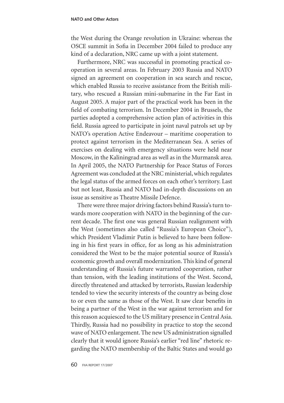the West during the Orange revolution in Ukraine: whereas the OSCE summit in Sofia in December 2004 failed to produce any kind of a declaration, NRC came up with a joint statement.

Furthermore, NRC was successful in promoting practical cooperation in several areas. In February 2003 Russia and NATO signed an agreement on cooperation in sea search and rescue, which enabled Russia to receive assistance from the British military, who rescued a Russian mini-submarine in the Far East in August 2005. A major part of the practical work has been in the field of combating terrorism. In December 2004 in Brussels, the parties adopted a comprehensive action plan of activities in this field. Russia agreed to participate in joint naval patrols set up by NATO's operation Active Endeavour – maritime cooperation to protect against terrorism in the Mediterranean Sea. A series of exercises on dealing with emergency situations were held near Moscow, in the Kaliningrad area as well as in the Murmansk area. In April 2005, the NATO Partnership for Peace Status of Forces Agreement was concluded at the NRC ministerial, which regulates the legal status of the armed forces on each other's territory. Last but not least, Russia and NATO had in-depth discussions on an issue as sensitive as Theatre Missile Defence.

There were three major driving factors behind Russia's turn towards more cooperation with NATO in the beginning of the current decade. The first one was general Russian realignment with the West (sometimes also called "Russia's European Choice"), which President Vladimir Putin is believed to have been following in his first years in office, for as long as his administration considered the West to be the major potential source of Russia's economic growth and overall modernization. This kind of general understanding of Russia's future warranted cooperation, rather than tension, with the leading institutions of the West. Second, directly threatened and attacked by terrorists, Russian leadership tended to view the security interests of the country as being close to or even the same as those of the West. It saw clear benefits in being a partner of the West in the war against terrorism and for this reason acquiesced to the US military presence in Central Asia. Thirdly, Russia had no possibility in practice to stop the second wave of NATO enlargement. The new US administration signalled clearly that it would ignore Russia's earlier "red line" rhetoric regarding the NATO membership of the Baltic States and would go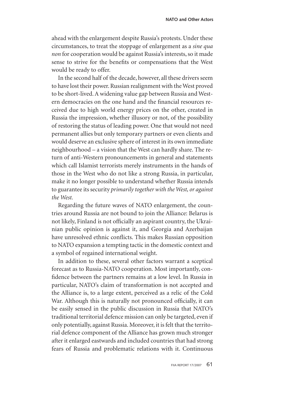ahead with the enlargement despite Russia's protests. Under these circumstances, to treat the stoppage of enlargement as a *sine qua non* for cooperation would be against Russia's interests, so it made sense to strive for the benefits or compensations that the West would be ready to offer.

In the second half of the decade, however, all these drivers seem to have lost their power. Russian realignment with the West proved to be short-lived. A widening value gap between Russia and Western democracies on the one hand and the financial resources received due to high world energy prices on the other, created in Russia the impression, whether illusory or not, of the possibility of restoring the status of leading power. One that would not need permanent allies but only temporary partners or even clients and would deserve an exclusive sphere of interest in its own immediate neighbourhood – a vision that the West can hardly share. The return of anti-Western pronouncements in general and statements which call Islamist terrorists merely instruments in the hands of those in the West who do not like a strong Russia, in particular, make it no longer possible to understand whether Russia intends to guarantee its security *primarily together with the West, or against the West.* 

Regarding the future waves of NATO enlargement, the countries around Russia are not bound to join the Alliance: Belarus is not likely, Finland is not officially an aspirant country, the Ukrainian public opinion is against it, and Georgia and Azerbaijan have unresolved ethnic conflicts. This makes Russian opposition to NATO expansion a tempting tactic in the domestic context and a symbol of regained international weight.

In addition to these, several other factors warrant a sceptical forecast as to Russia-NATO cooperation. Most importantly, confidence between the partners remains at a low level. In Russia in particular, NATO's claim of transformation is not accepted and the Alliance is, to a large extent, perceived as a relic of the Cold War. Although this is naturally not pronounced officially, it can be easily sensed in the public discussion in Russia that NATO's traditional territorial defence mission can only be targeted, even if only potentially, against Russia. Moreover, it is felt that the territorial defence component of the Alliance has grown much stronger after it enlarged eastwards and included countries that had strong fears of Russia and problematic relations with it. Continuous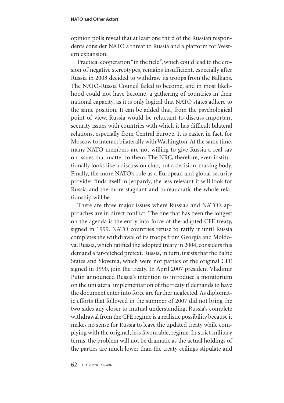#### **NATO and Other Actors**

opinion polls reveal that at least one third of the Russian respondents consider NATO a threat to Russia and a platform for Western expansion.

Practical cooperation "in the field", which could lead to the erosion of negative stereotypes, remains insufficient, especially after Russia in 2003 decided to withdraw its troops from the Balkans. The NATO-Russia Council failed to become, and in most likelihood could not have become, a gathering of countries in their national capacity, as it is only logical that NATO states adhere to the same position. It can be added that, from the psychological point of view, Russia would be reluctant to discuss important security issues with countries with which it has difficult bilateral relations, especially from Central Europe. It is easier, in fact, for Moscow to interact bilaterally with Washington. At the same time, many NATO members are not willing to give Russia a real say on issues that matter to them. The NRC, therefore, even institutionally looks like a discussion club, not a decision-making body. Finally, the more NATO's role as a European and global security provider finds itself in jeopardy, the less relevant it will look for Russia and the more stagnant and bureaucratic the whole relationship will be.

There are three major issues where Russia's and NATO's approaches are in direct conflict. The one that has been the longest on the agenda is the entry into force of the adapted CFE treaty, signed in 1999. NATO countries refuse to ratify it until Russia completes the withdrawal of its troops from Georgia and Moldova. Russia, which ratified the adopted treaty in 2004, considers this demand a far-fetched pretext. Russia, in turn, insists that the Baltic States and Slovenia, which were not parties of the original CFE signed in 1990, join the treaty. In April 2007 president Vladimir Putin announced Russia's intention to introduce a moratorium on the unilateral implementation of the treaty if demands to have the document enter into force are further neglected. As diplomatic efforts that followed in the summer of 2007 did not bring the two sides any closer to mutual understanding, Russia's complete withdrawal from the CFE regime is a realistic possibility because it makes no sense for Russia to leave the updated treaty while complying with the original, less favourable, regime. In strict military terms, the problem will not be dramatic as the actual holdings of the parties are much lower than the treaty ceilings stipulate and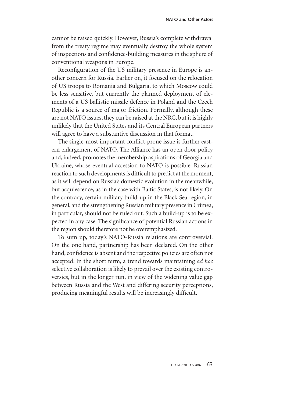cannot be raised quickly. However, Russia's complete withdrawal from the treaty regime may eventually destroy the whole system of inspections and confidence-building measures in the sphere of conventional weapons in Europe.

Reconfiguration of the US military presence in Europe is another concern for Russia. Earlier on, it focused on the relocation of US troops to Romania and Bulgaria, to which Moscow could be less sensitive, but currently the planned deployment of elements of a US ballistic missile defence in Poland and the Czech Republic is a source of major friction. Formally, although these are not NATO issues, they can be raised at the NRC, but it is highly unlikely that the United States and its Central European partners will agree to have a substantive discussion in that format.

The single-most important conflict-prone issue is further eastern enlargement of NATO. The Alliance has an open door policy and, indeed, promotes the membership aspirations of Georgia and Ukraine, whose eventual accession to NATO is possible. Russian reaction to such developments is difficult to predict at the moment, as it will depend on Russia's domestic evolution in the meanwhile, but acquiescence, as in the case with Baltic States, is not likely. On the contrary, certain military build-up in the Black Sea region, in general, and the strengthening Russian military presence in Crimea, in particular, should not be ruled out. Such a build-up is to be expected in any case. The significance of potential Russian actions in the region should therefore not be overemphasized.

To sum up, today's NATO-Russia relations are controversial. On the one hand, partnership has been declared. On the other hand, confidence is absent and the respective policies are often not accepted. In the short term, a trend towards maintaining *ad hoc* selective collaboration is likely to prevail over the existing controversies, but in the longer run, in view of the widening value gap between Russia and the West and differing security perceptions, producing meaningful results will be increasingly difficult.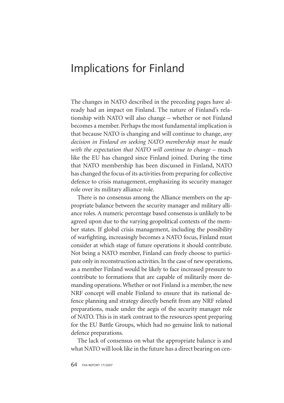## Implications for Finland

The changes in NATO described in the preceding pages have already had an impact on Finland. The nature of Finland's relationship with NATO will also change – whether or not Finland becomes a member. Perhaps the most fundamental implication is that because NATO is changing and will continue to change, *any decision in Finland on seeking NATO membership must be made with the expectation that NATO will continue to change* – much like the EU has changed since Finland joined. During the time that NATO membership has been discussed in Finland, NATO has changed the focus of its activities from preparing for collective defence to crisis management, emphasizing its security manager role over its military alliance role.

There is no consensus among the Alliance members on the appropriate balance between the security manager and military alliance roles. A numeric percentage based consensus is unlikely to be agreed upon due to the varying geopolitical contexts of the member states. If global crisis management, including the possibility of warfighting, increasingly becomes a NATO focus, Finland must consider at which stage of future operations it should contribute. Not being a NATO member, Finland can freely choose to participate only in reconstruction activities. In the case of new operations, as a member Finland would be likely to face increased pressure to contribute to formations that are capable of militarily more demanding operations. Whether or not Finland is a member, the new NRF concept will enable Finland to ensure that its national defence planning and strategy directly benefit from any NRF related preparations, made under the aegis of the security manager role of NATO. This is in stark contrast to the resources spent preparing for the EU Battle Groups, which had no genuine link to national defence preparations.

The lack of consensus on what the appropriate balance is and what NATO will look like in the future has a direct bearing on cen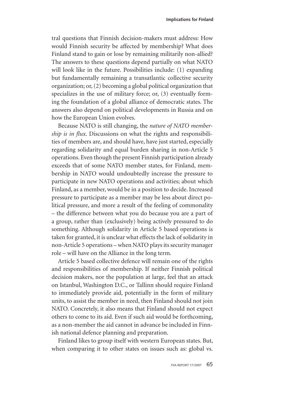tral questions that Finnish decision-makers must address: How would Finnish security be affected by membership? What does Finland stand to gain or lose by remaining militarily non-allied? The answers to these questions depend partially on what NATO will look like in the future. Possibilities include: (1) expanding but fundamentally remaining a transatlantic collective security organization; or, (2) becoming a global political organization that specializes in the use of military force; or, (3) eventually forming the foundation of a global alliance of democratic states. The answers also depend on political developments in Russia and on how the European Union evolves.

Because NATO is still changing, the *nature of NATO membership is in flux*. Discussions on what the rights and responsibilities of members are, and should have, have just started, especially regarding solidarity and equal burden sharing in non-Article 5 operations. Even though the present Finnish participation already exceeds that of some NATO member states, for Finland, membership in NATO would undoubtedly increase the pressure to participate in new NATO operations and activities; about which Finland, as a member, would be in a position to decide. Increased pressure to participate as a member may be less about direct political pressure, and more a result of the feeling of commonality – the difference between what you do because you are a part of a group, rather than (exclusively) being actively pressured to do something. Although solidarity in Article 5 based operations is taken for granted, it is unclear what effects the lack of solidarity in non-Article 5 operations – when NATO plays its security manager role – will have on the Alliance in the long term.

Article 5 based collective defence will remain one of the rights and responsibilities of membership. If neither Finnish political decision makers, nor the population at large, feel that an attack on Istanbul, Washington D.C., or Tallinn should require Finland to immediately provide aid, potentially in the form of military units, to assist the member in need, then Finland should not join NATO. Concretely, it also means that Finland should not expect others to come to its aid. Even if such aid would be forthcoming, as a non-member the aid cannot in advance be included in Finnish national defence planning and preparation.

Finland likes to group itself with western European states. But, when comparing it to other states on issues such as: global vs.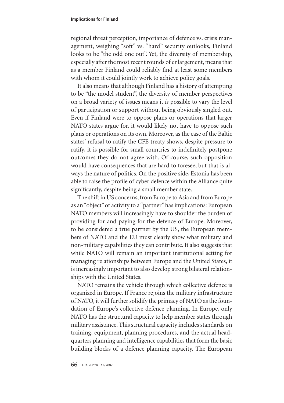regional threat perception, importance of defence vs. crisis management, weighing "soft" vs. "hard" security outlooks, Finland looks to be "the odd one out". Yet, the diversity of membership, especially after the most recent rounds of enlargement, means that as a member Finland could reliably find at least some members with whom it could jointly work to achieve policy goals.

It also means that although Finland has a history of attempting to be "the model student", the diversity of member perspectives on a broad variety of issues means it *is* possible to vary the level of participation or support without being obviously singled out. Even if Finland were to oppose plans or operations that larger NATO states argue for, it would likely not have to oppose such plans or operations on its own. Moreover, as the case of the Baltic states' refusal to ratify the CFE treaty shows, despite pressure to ratify, it is possible for small countries to indefinitely postpone outcomes they do not agree with. Of course, such opposition would have consequences that are hard to foresee, but that is always the nature of politics. On the positive side, Estonia has been able to raise the profile of cyber defence within the Alliance quite significantly, despite being a small member state.

The shift in US concerns, from Europe to Asia and from Europe as an "object" of activity to a "partner" has implications: European NATO members will increasingly have to shoulder the burden of providing for and paying for the defence of Europe. Moreover, to be considered a true partner by the US, the European members of NATO and the EU must clearly show what military and non-military capabilities they can contribute. It also suggests that while NATO will remain an important institutional setting for managing relationships between Europe and the United States, it is increasingly important to also develop strong bilateral relationships with the United States.

NATO remains the vehicle through which collective defence is organized in Europe. If France rejoins the military infrastructure of NATO, it will further solidify the primacy of NATO as the foundation of Europe's collective defence planning. In Europe, only NATO has the structural capacity to help member states through military assistance. This structural capacity includes standards on training, equipment, planning procedures, and the actual headquarters planning and intelligence capabilities that form the basic building blocks of a defence planning capacity. The European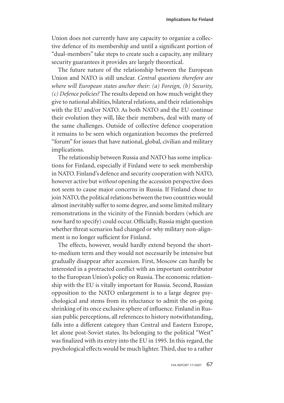Union does not currently have any capacity to organize a collective defence of its membership and until a significant portion of "dual-members" take steps to create such a capacity, any military security guarantees it provides are largely theoretical.

The future nature of the relationship between the European Union and NATO is still unclear. *Central questions therefore are where will European states anchor their: (a) Foreign, (b) Security, (c) Defence policies?* The results depend on how much weight they give to national abilities, bilateral relations, and their relationships with the EU and/or NATO. As both NATO and the EU continue their evolution they will, like their members, deal with many of the same challenges. Outside of collective defence cooperation it remains to be seen which organization becomes the preferred "forum" for issues that have national, global, civilian and military implications.

The relationship between Russia and NATO has some implications for Finland, especially if Finland were to seek membership in NATO. Finland's defence and security cooperation with NATO, however active but *without* opening the accession perspective does not seem to cause major concerns in Russia. If Finland chose to join NATO, the political relations between the two countries would almost inevitably suffer to some degree, and some limited military remonstrations in the vicinity of the Finnish borders (which are now hard to specify) could occur. Officially, Russia might question whether threat scenarios had changed or why military non-alignment is no longer sufficient for Finland.

The effects, however, would hardly extend beyond the shortto-medium term and they would not necessarily be intensive but gradually disappear after accession. First, Moscow can hardly be interested in a protracted conflict with an important contributor to the European Union's policy on Russia. The economic relationship with the EU is vitally important for Russia. Second, Russian opposition to the NATO enlargement is to a large degree psychological and stems from its reluctance to admit the on-going shrinking of its once exclusive sphere of influence. Finland in Russian public perceptions, all references to history notwithstanding, falls into a different category than Central and Eastern Europe, let alone post-Soviet states. Its belonging to the political "West" was finalized with its entry into the EU in 1995. In this regard, the psychological effects would be much lighter. Third, due to a rather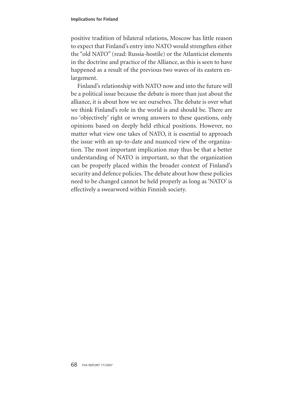positive tradition of bilateral relations, Moscow has little reason to expect that Finland's entry into NATO would strengthen either the "old NATO" (read: Russia-hostile) or the Atlanticist elements in the doctrine and practice of the Alliance, as this is seen to have happened as a result of the previous two waves of its eastern enlargement.

Finland's relationship with NATO now and into the future will be a political issue because the debate is more than just about the alliance, it is about how we see ourselves. The debate is over what we think Finland's role in the world is and should be. There are no 'objectively' right or wrong answers to these questions, only opinions based on deeply held ethical positions. However, no matter what view one takes of NATO, it is essential to approach the issue with an up-to-date and nuanced view of the organization. The most important implication may thus be that a better understanding of NATO is important, so that the organization can be properly placed within the broader context of Finland's security and defence policies. The debate about how these policies need to be changed cannot be held properly as long as 'NATO' is effectively a swearword within Finnish society.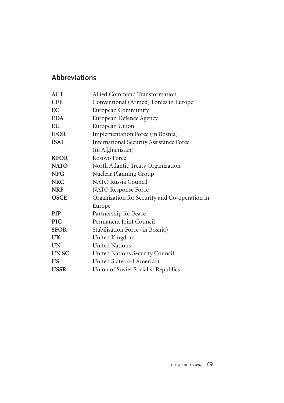## **Abbreviations**

| <b>ACT</b>  | Allied Command Transformation                  |
|-------------|------------------------------------------------|
| <b>CFE</b>  | Conventional (Armed) Forces in Europe          |
| EC          | <b>European Community</b>                      |
| <b>EDA</b>  | European Defence Agency                        |
| EU          | European Union                                 |
| <b>IFOR</b> | Implementation Force (in Bosnia)               |
| <b>ISAF</b> | <b>International Security Assistance Force</b> |
|             | (in Afghanistan)                               |
| <b>KFOR</b> | Kosovo Force                                   |
| <b>NATO</b> | North Atlantic Treaty Organization             |
| <b>NPG</b>  | Nuclear Planning Group                         |
| <b>NRC</b>  | NATO Russia Council                            |
| <b>NRF</b>  | NATO Response Force                            |
| <b>OSCE</b> | Organization for Security and Co-operation in  |
|             | Europe                                         |
| <b>PfP</b>  | Partnership for Peace                          |
| <b>PJC</b>  | Permanent Joint Council                        |
| <b>SFOR</b> | Stabilisation Force (in Bosnia)                |
| UK          | United Kingdom                                 |
| <b>UN</b>   | <b>United Nations</b>                          |
| <b>UNSC</b> | United Nations Security Council                |
| <b>US</b>   | United States (of America)                     |
| <b>USSR</b> | Union of Soviet Socialist Republics            |